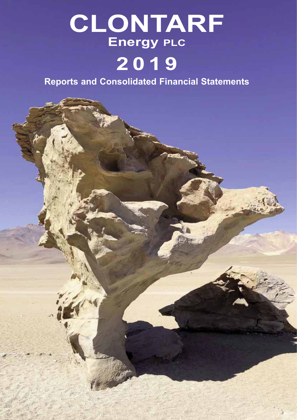# **CLONTARF Energy PLC**

# **2019**

**Reports and Consolidated Financial Statements**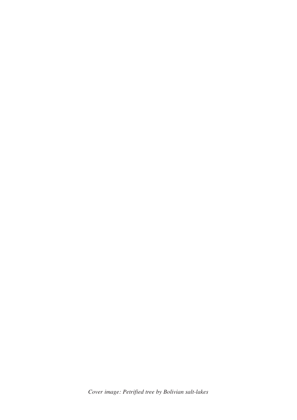*Cover image: Petrified tree by Bolivian salt-lakes*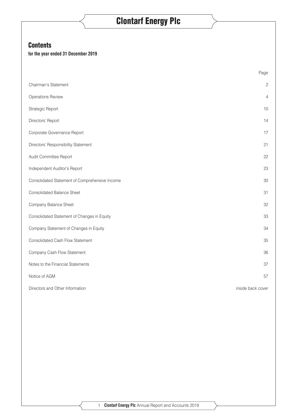## **Contents**

**for the year ended 31 December 2019**

|                                                | Page              |
|------------------------------------------------|-------------------|
| Chairman's Statement                           | 2                 |
| <b>Operations Review</b>                       | 4                 |
| Strategic Report                               | 10                |
| Directors' Report                              | 14                |
| Corporate Governance Report                    | 17                |
| Directors' Responsibility Statement            | 21                |
| Audit Committee Report                         | 22                |
| Independent Auditor's Report                   | 23                |
| Consolidated Statement of Comprehensive Income | 30                |
| <b>Consolidated Balance Sheet</b>              | 31                |
| Company Balance Sheet                          | 32                |
| Consolidated Statement of Changes in Equity    | 33                |
| Company Statement of Changes in Equity         | 34                |
| <b>Consolidated Cash Flow Statement</b>        | 35                |
| Company Cash Flow Statement                    | 36                |
| Notes to the Financial Statements              | 37                |
| Notice of AGM                                  | 57                |
| Directors and Other Information                | inside back cover |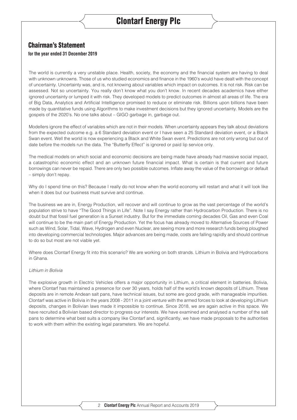## **Chairman's Statement**

**for the year ended 31 December 2019**

The world is currently a very unstable place. Health, society, the economy and the financial system are having to deal with unknown unknowns. Those of us who studied economics and finance in the 1960's would have dealt with the concept of uncertainty. Uncertainty was, and is, not knowing about variables which impact on outcomes. It is not risk. Risk can be assessed. Not so uncertainty. You really don't know what you don't know. In recent decades academics have either ignored uncertainty or lumped it with risk. They developed models to predict outcomes in almost all areas of life. The era of Big Data, Analytics and Artificial Intelligence promised to reduce or eliminate risk. Billions upon billions have been made by quantitative funds using Algorithms to make investment decisions but they ignored uncertainty. Models are the gospels of the 2020's. No one talks about – GIGO garbage in, garbage out.

Modellers ignore the effect of variables which are not in their models. When uncertainty appears they talk about deviations from the expected outcome e.g. a 6 Standard deviation event or I have seen a 25 Standard deviation event, or a Black Swan event. Well the world is now experiencing a Black and White Swan event. Predictions are not only wrong but out of date before the models run the data. The "Butterfly Effect" is ignored or paid lip service only.

The medical models on which social and economic decisions are being made have already had massive social impact, a catastrophic economic effect and an unknown future financial impact. What is certain is that current and future borrowings can never be repaid. There are only two possible outcomes. Inflate away the value of the borrowings or default – simply don't repay.

Why do I spend time on this? Because I really do not know when the world economy will restart and what it will look like when it does but our business must survive and continue.

The business we are in, Energy Production, will recover and will continue to grow as the vast percentage of the world's population strive to have "The Good Things in Life". Note I say Energy rather than Hydrocarbon Production. There is no doubt but that fossil fuel generation is a Sunset industry. But for the immediate coming decades Oil, Gas and even Coal will continue to be the main part of Energy Production. Yet the focus has already moved to Alternative Sources of Power such as Wind, Solar, Tidal, Wave, Hydrogen and even Nuclear, are seeing more and more research funds being ploughed into developing commercial technologies. Major advances are being made, costs are falling rapidly and should continue to do so but most are not viable yet.

Where does Clontarf Energy fit into this scenario? We are working on both strands. Lithium in Bolivia and Hydrocarbons in Ghana.

#### Lithium in Bolivia

The explosive growth in Electric Vehicles offers a major opportunity in Lithium, a critical element in batteries. Bolivia, where Clontarf has maintained a presence for over 30 years, holds half of the world's known deposits of Lithium. These deposits are in remote Andean salt pans, have technical issues, but some are good grade, with manageable impurities. Clontarf was active in Bolivia in the years 2008 - 2011 in a joint venture with the armed forces to look at developing Lithium deposits, changes in Bolivian laws made it impossible to continue. Since 2018, we are again active in this space. We have recruited a Bolivian based director to progress our interests. We have examined and analysed a number of the salt pans to determine what best suits a company like Clontarf and, significantly, we have made proposals to the authorities to work with them within the existing legal parameters. We are hopeful.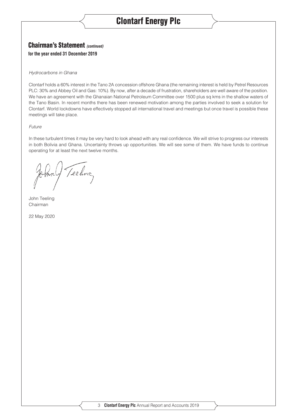## **Chairman's Statement** *(continued)*

**for the year ended 31 December 2019**

Hydrocarbons in Ghana

Clontarf holds a 60% interest in the Tano 2A concession offshore Ghana (the remaining interest is held by Petrel Resources PLC: 30% and Abbey Oil and Gas: 10%). By now, after a decade of frustration, shareholders are well aware of the position. We have an agreement with the Ghanaian National Petroleum Committee over 1500 plus sq kms in the shallow waters of the Tano Basin. In recent months there has been renewed motivation among the parties involved to seek a solution for Clontarf. World lockdowns have effectively stopped all international travel and meetings but once travel is possible these meetings will take place.

Future

In these turbulent times it may be very hard to look ahead with any real confidence. We will strive to progress our interests in both Bolivia and Ghana. Uncertainty throws up opportunities. We will see some of them. We have funds to continue operating for at least the next twelve months.

Techno

John Teeling Chairman

22 May 2020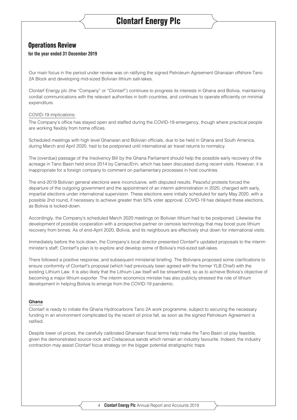## **Operations Review**

#### **for the year ended 31 December 2019**

Our main focus in the period under review was on ratifying the signed Petroleum Agreement Ghanaian offshore Tano 2A Block and developing mid-sized Bolivian lithium salt-lakes.

Clontarf Energy plc (the "Company" or "Clontarf") continues to progress its interests in Ghana and Bolivia, maintaining cordial communications with the relevant authorities in both countries, and continues to operate efficiently on minimal expenditure.

#### COVID-19 implications:

The Company's office has stayed open and staffed during the COVID-19 emergency, though where practical people are working flexibly from home offices.

Scheduled meetings with high level Ghanaian and Bolivian officials, due to be held in Ghana and South America, during March and April 2020, had to be postponed until international air travel returns to normalcy.

The (overdue) passage of the Insolvency Bill by the Ghana Parliament should help the possible early recovery of the acreage in Tano Basin held since 2014 by Camac/Erin, which has been discussed during recent visits. However, it is inappropriate for a foreign company to comment on parliamentary processes in host countries.

The end-2019 Bolivian general elections were inconclusive, with disputed results. Peaceful protests forced the departure of the outgoing government and the appointment of an interim administration in 2020, charged with early, impartial elections under international supervision. These elections were initially scheduled for early May 2020, with a possible 2nd round, if necessary to achieve greater than 50% voter approval. COVID-19 has delayed these elections, as Bolivia is locked-down.

Accordingly, the Company's scheduled March 2020 meetings on Bolivian lithium had to be postponed. Likewise the development of possible cooperation with a prospective partner on osmosis technology that may boost pure lithium recovery from brines. As of end-April 2020, Bolivia, and its neighbours are effectively shut down for international visits.

Immediately before the lock-down, the Company's local director presented Clontarf's updated proposals to the interim minister's staff; Clontarf's plan is to explore and develop some of Bolivia's mid-sized salt-lakes.

There followed a positive response, and subsequent ministerial briefing. The Bolivians proposed some clarifications to ensure conformity of Clontarf's proposal (which had previously been agreed with the former YLB Chief) with the existing Lithium Law. It is also likely that the Lithium Law itself will be streamlined, so as to achieve Bolivia's objective of becoming a major lithium exporter. The interim economics minister has also publicly stressed the role of lithium development in helping Bolivia to emerge from the COVID-19 pandemic.

#### **Ghana**

Clontarf is ready to initiate the Ghana Hydrocarbons Tano 2A work programme, subject to securing the necessary funding in an environment complicated by the recent oil price fall, as soon as the signed Petroleum Agreement is ratified.

Despite lower oil prices, the carefully calibrated Ghanaian fiscal terms help make the Tano Basin oil play feasible, given the demonstrated source rock and Cretaceous sands which remain an industry favourite. Indeed, the industry contraction may assist Clontarf focus strategy on the bigger potential stratigraphic traps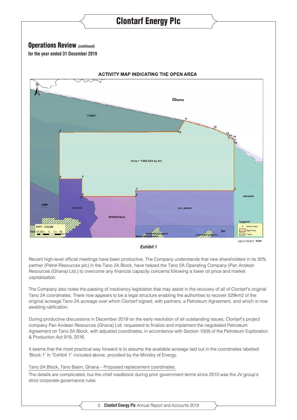### **Operations Review** *(continued)*

**for the year ended 31 December 2019**



**Exhibit 1**

Recent high-level official meetings have been productive. The Company understands that new shareholders in its 30% partner (Petrel Resources plc) in the Tano 2A Block, have helped the Tano 2A Operating Company (Pan Andean Resources (Ghana) Ltd.) to overcome any financial capacity concerns following a lower oil price and market capitalisation.

The Company also notes the passing of insolvency legislation that may assist in the recovery of all of Clontarf's original Tano 2A coordinates. There now appears to be a legal structure enabling the authorities to recover 529km2 of the original acreage Tano 2A acreage over which Clontarf signed, with partners, a Petroleum Agreement, and which is now awaiting ratification.

During productive discussions in December 2019 on the early resolution of all outstanding issues, Clontarf's project company Pan Andean Resources (Ghana) Ltd. requested to finalize and implement the negotiated Petroleum Agreement on Tano 2A Block, with adjusted coordinates, in accordance with Section 10(9) of the Petroleum Exploration & Production Act 919, 2016.

It seems that the most practical way forward is to assume the available acreage laid out in the coordinates labelled 'Block 1' in "Exhibit 1" included above, provided by the Ministry of Energy.

#### Tano 2A Block, Tano Basin, Ghana – Proposed replacement coordinates.

The details are complicated, but the chief roadblock during prior government terms since 2010 was the JV group's strict corporate governance rules.

5 **Clontarf Energy Plc** Annual Report and Accounts 2019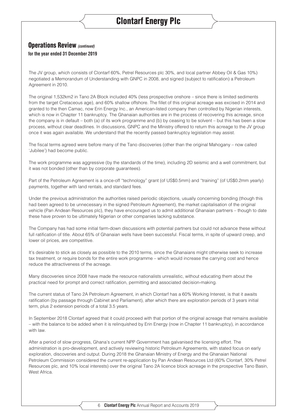### **Operations Review** *(continued)*

#### **for the year ended 31 December 2019**

The JV group, which consists of Clontarf 60%, Petrel Resources plc 30%, and local partner Abbey Oil & Gas 10%) negotiated a Memorandum of Understanding with GNPC in 2008, and signed (subject to ratification) a Petroleum Agreement in 2010.

The original 1,532km2 in Tano 2A Block included 40% (less prospective onshore – since there is limited sediments from the target Cretaceous age), and 60% shallow offshore. The fillet of this original acreage was excised in 2014 and granted to the then Camac, now Erin Energy Inc., an American-listed company then controlled by Nigerian interests, which is now in Chapter 11 bankruptcy. The Ghanaian authorities are in the process of recovering this acreage, since the company is in default – both (a) of its work programme and (b) by ceasing to be solvent – but this has been a slow process, without clear deadlines. In discussions, GNPC and the Ministry offered to return this acreage to the JV group once it was again available. We understand that the recently passed bankruptcy legislation may assist.

The fiscal terms agreed were before many of the Tano discoveries (other than the original Mahogany – now called 'Jubilee') had become public.

The work programme was aggressive (by the standards of the time), including 2D seismic and a well commitment, but it was not bonded (other than by corporate guarantees).

Part of the Petroleum Agreement is a once-off "technology" grant (of US\$0.5mm) and "training" (of US\$0.2mm yearly) payments, together with land rentals, and standard fees.

Under the previous administration the authorities raised periodic objections, usually concerning bonding (though this had been agreed to be unnecessary in the signed Petroleum Agreement), the market capitalisation of the original vehicle (Pan Andean Resources plc), they have encouraged us to admit additional Ghanaian partners – though to date these have proven to be ultimately Nigerian or other companies lacking substance.

The Company has had some initial farm-down discussions with potential partners but could not advance these without full ratification of title. About 65% of Ghanaian wells have been successful. Fiscal terms, in spite of upward creep, and lower oil prices, are competitive.

It's desirable to stick as closely as possible to the 2010 terms, since the Ghanaians might otherwise seek to increase tax treatment, or require bonds for the entire work programme – which would increase the carrying cost and hence reduce the attractiveness of the acreage.

Many discoveries since 2008 have made the resource nationalists unrealistic, without educating them about the practical need for prompt and correct ratification, permitting and associated decision-making.

The current status of Tano 2A Petroleum Agreement, in which Clontarf has a 60% Working Interest, is that it awaits ratification (by passage through Cabinet and Parliament), after which there are exploration periods of 3 years initial term, plus 2 extension periods of a total 3.5 years.

In September 2018 Clontarf agreed that it could proceed with that portion of the original acreage that remains available – with the balance to be added when it is relinquished by Erin Energy (now in Chapter 11 bankruptcy), in accordance with law.

After a period of slow progress, Ghana's current NPP Government has galvanised the licensing effort. The administration is pro-development, and actively reviewing historic Petroleum Agreements, with stated focus on early exploration, discoveries and output. During 2018 the Ghanaian Ministry of Energy and the Ghanaian National Petroleum Commission considered the current re-application by Pan Andean Resources Ltd (60% Clontarf, 30% Petrel Resources plc, and 10% local interests) over the original Tano 2A licence block acreage in the prospective Tano Basin, West Africa.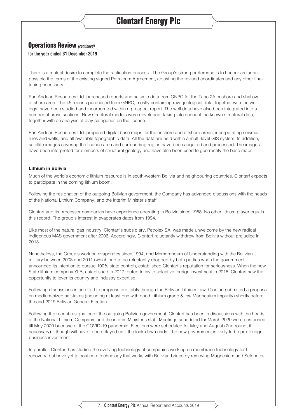### **Operations Review** *(continued)*

#### **for the year ended 31 December 2019**

There is a mutual desire to complete the ratification process. The Group's strong preference is to honour as far as possible the terms of the existing signed Petroleum Agreement, adjusting the revised coordinates and any other finetuning necessary.

Pan Andean Resources Ltd. purchased reports and seismic data from GNPC for the Tano 2A onshore and shallow offshore area. The 45 reports purchased from GNPC, mostly containing raw geological data, together with the well logs, have been studied and incorporated within a prospect report. The well data have also been integrated into a number of cross sections. New structural models were developed, taking into account the known structural data, together with an analysis of play categories on the licence.

Pan Andean Resources Ltd. prepared digital base maps for the onshore and offshore areas, incorporating seismic lines and wells, and all available topographic data. All the data are held within a multi-level GIS system. In addition, satellite images covering the licence area and surrounding region have been acquired and processed. The images have been interpreted for elements of structural geology and have also been used to geo-rectify the base maps.

#### **Lithium in Bolivia**

Much of the world's economic lithium resource is in south-western Bolivia and neighbouring countries. Clontarf expects to participate in the coming lithium boom.

Following the resignation of the outgoing Bolivian government, the Company has advanced discussions with the heads of the National Lithium Company, and the interim Minister's staff.

Clontarf and its processor companies have experience operating in Bolivia since 1988. No other lithium player equals this record. The group's interest in evaporates dates from 1994.

Like most of the natural gas industry, Clontarf's subsidiary, Petrolex SA, was made unwelcome by the new radical indigenous MAS government after 2006. Accordingly, Clontarf reluctantly withdrew from Bolivia without prejudice in 2013.

Nonetheless, the Group's work on evaporates since 1994, and Memorandum of Understanding with the Bolivian military between 2008 and 2011 (which had to be reluctantly dropped by both parties when the government announced its intention to pursue 100% state control), established Clontarf's reputation for seriousness. When the new State lithium company YLB, established in 2017, opted to invite selective foreign investment in 2018, Clontarf saw the opportunity to lever its country and industry expertise.

Following discussions in an effort to progress profitably through the Bolivian Lithium Law, Clontarf submitted a proposal on medium-sized salt-lakes (including at least one with good Lithium grade & low Magnesium impurity) shortly before the end-2019 Bolivian General Election.

Following the recent resignation of the outgoing Bolivian government, Clontarf has been in discussions with the heads of the National Lithium Company, and the interim Minister's staff. Meetings scheduled for March 2020 were postponed till May 2020 because of the COVID-19 pandemic. Elections were scheduled for May and August (2nd round, if necessary) – though will have to be delayed until the lock-down ends. The new government is likely to be pro-foreign business investment.

In parallel, Clontarf has studied the evolving technology of companies working on membrane technology for Li recovery, but have yet to confirm a technology that works with Bolivian brines by removing Magnesium and Sulphates.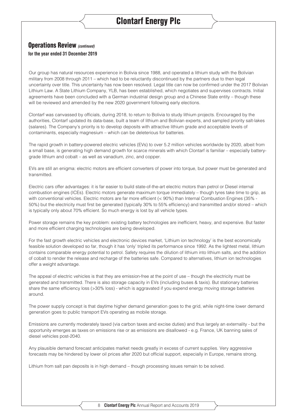### **Operations Review** *(continued)*

#### **for the year ended 31 December 2019**

Our group has natural resources experience in Bolivia since 1988, and operated a lithium study with the Bolivian military from 2008 through 2011 – which had to be reluctantly discontinued by the partners due to then legal uncertainty over title. This uncertainty has now been resolved. Legal title can now be confirmed under the 2017 Bolivian Lithium Law. A State Lithium Company, YLB, has been established, which negotiates and supervises contracts. Initial agreements have been concluded with a German industrial design group and a Chinese State entity – though these will be reviewed and amended by the new 2020 government following early elections.

Clontarf was canvassed by officials, during 2018, to return to Bolivia to study lithium projects. Encouraged by the authorities, Clontarf updated its data-base, built a team of lithium and Bolivian experts, and sampled priority salt-lakes (salares). The Company's priority is to develop deposits with attractive lithium grade and acceptable levels of contaminants, especially magnesium – which can be deleterious for batteries.

The rapid growth in battery-powered electric vehicles (EVs) to over 5.2 million vehicles worldwide by 2020, albeit from a small base, is generating high demand growth for scarce minerals with which Clontarf is familiar – especially batterygrade lithium and cobalt – as well as vanadium, zinc, and copper.

EVs are still an enigma: electric motors are efficient converters of power into torque, but power must be generated and transmitted.

Electric cars offer advantages: it is far easier to build state-of-the-art electric motors than petrol or Diesel internal combustion engines (ICEs). Electric motors generate maximum torque immediately – though tyres take time to grip, as with conventional vehicles. Electric motors are far more efficient (< 90%) than Internal Combustion Engines (35% - 50%) but the electricity must first be generated (typically 30% to 55% efficiency) and transmitted and/or stored – which is typically only about 70% efficient. So much energy is lost by all vehicle types.

Power storage remains the key problem: existing battery technologies are inefficient, heavy, and expensive. But faster and more efficient charging technologies are being developed.

For the fast growth electric vehicles and electronic devices market, 'Lithium ion technology' is the best economically feasible solution developed so far, though it has 'only' tripled its performance since 1992. As the lightest metal, lithium contains comparable energy potential to petrol. Safety requires the dilution of lithium into lithium salts, and the addition of cobalt to render the release and recharge of the batteries safe. Compared to alternatives, lithium ion technologies offer a weight advantage.

The appeal of electric vehicles is that they are emission-free at the point of use – though the electricity must be generated and transmitted. There is also storage capacity in EVs (including buses & taxis). But stationary batteries share the same efficiency loss (>30% loss) - which is aggravated if you expend energy moving storage batteries around.

The power supply concept is that daytime higher demand generation goes to the grid, while night-time lower demand generation goes to public transport EVs operating as mobile storage.

Emissions are currently moderately taxed (via carbon taxes and excise duties) and thus largely an externality - but the opportunity emerges as taxes on emissions rise or as emissions are disallowed - e.g. France, UK banning sales of diesel vehicles post-2040.

Any plausible demand forecast anticipates market needs greatly in excess of current supplies. Very aggressive forecasts may be hindered by lower oil prices after 2020 but official support, especially in Europe, remains strong.

Lithium from salt pan deposits is in high demand – though processing issues remain to be solved.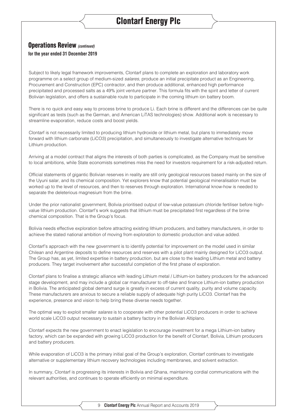### **Operations Review** *(continued)*

#### **for the year ended 31 December 2019**

Subject to likely legal framework improvements, Clontarf plans to complete an exploration and laboratory work programme on a select group of medium-sized salares, produce an initial precipitate product as an Engineering, Procurement and Construction (EPC) contractor, and then produce additional, enhanced high performance precipitated and processed salts as a 49% joint venture partner. This formula fits with the spirit and letter of current Bolivian legislation, and offers a sustainable route to participate in the coming lithium ion battery boom.

There is no quick and easy way to process brine to produce Li. Each brine is different and the differences can be quite significant as tests (such as the German, and American LiTAS technologies) show. Additional work is necessary to streamline evaporation, reduce costs and boost yields.

Clontarf is not necessarily limited to producing lithium hydroxide or lithium metal, but plans to immediately move forward with lithium carbonate (LiCO3) precipitation, and simultaneously to investigate alternative techniques for Lithium production.

Arriving at a model contract that aligns the interests of both parties is complicated, as the Company must be sensitive to local ambitions, while State economists sometimes miss the need for investors requirement for a risk-adjusted return.

Official statements of gigantic Bolivian reserves in reality are still only geological resources based mainly on the size of the Uyuni salar, and its chemical composition. Yet explorers know that potential geological mineralisation must be worked up to the level of resources, and then to reserves through exploration. International know-how is needed to separate the deleterious magnesium from the brine.

Under the prior nationalist government, Bolivia prioritised output of low-value potassium chloride fertiliser before highvalue lithium production. Clontarf's work suggests that lithium must be precipitated first regardless of the brine chemical composition. That is the Group's focus.

Bolivia needs effective exploration before attracting existing lithium producers, and battery manufacturers, in order to achieve the stated national ambition of moving from exploration to domestic production and value added.

Clontarf's approach with the new government is to identify potential for improvement on the model used in similar Chilean and Argentine deposits to define resources and reserves with a pilot plant mainly designed for LiCO3 output. The Group has, as yet, limited expertise in battery production, but are close to the leading Lithium metal and battery producers. They target involvement after successful completion of the first phase of exploration.

Clontarf plans to finalise a strategic alliance with leading Lithium metal / Lithium-ion battery producers for the advanced stage development, and may include a global car manufacturer to off-take and finance Lithium-ion battery production in Bolivia. The anticipated global demand surge is greatly in excess of current quality, purity and volume capacity. These manufacturers are anxious to secure a reliable supply of adequate high purity LiCO3. Clontarf has the experience, presence and vision to help bring these diverse needs together.

The optimal way to exploit smaller salares is to cooperate with other potential LiCO3 producers in order to achieve world scale LiCO3 output necessary to sustain a battery factory in the Bolivian Altiplano.

Clontarf expects the new government to enact legislation to encourage investment for a mega Lithium-ion battery factory, which can be expanded with growing LiCO3 production for the benefit of Clontarf, Bolivia, Lithium producers and battery producers.

While evaporation of LiCO3 is the primary initial goal of the Group's exploration. Clontarf continues to investigate alternative or supplementary lithium recovery technologies including membranes, and solvent extraction.

In summary, Clontarf is progressing its interests in Bolivia and Ghana, maintaining cordial communications with the relevant authorities, and continues to operate efficiently on minimal expenditure.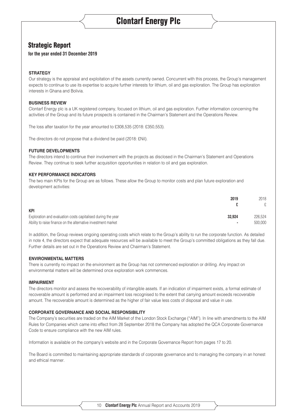## **Strategic Report**

#### **for the year ended 31 December 2019**

#### **STRATEGY**

Our strategy is the appraisal and exploitation of the assets currently owned. Concurrent with this process, the Group's management expects to continue to use its expertise to acquire further interests for lithium, oil and gas exploration. The Group has exploration interests in Ghana and Bolivia.

#### **BUSINESS REVIEW**

Clontarf Energy plc is a UK registered company, focused on lithium, oil and gas exploration. Further information concerning the activities of the Group and its future prospects is contained in the Chairman's Statement and the Operations Review.

The loss after taxation for the year amounted to £308,535 (2018: £350,553).

The directors do not propose that a dividend be paid (2018: £Nil).

#### **FUTURE DEVELOPMENTS**

The directors intend to continue their involvement with the projects as disclosed in the Chairman's Statement and Operations Review. They continue to seek further acquisition opportunities in relation to oil and gas exploration.

#### **KEY PERFORMANCE INDICATORS**

The two main KPIs for the Group are as follows. These allow the Group to monitor costs and plan future exploration and development activities:

|                                                               | 2019   | 2018    |
|---------------------------------------------------------------|--------|---------|
|                                                               |        |         |
| <b>KPI</b>                                                    |        |         |
| Exploration and evaluation costs capitalised during the year  | 32.924 | 226.524 |
| Ability to raise finance on the alternative investment market |        | 500,000 |

In addition, the Group reviews ongoing operating costs which relate to the Group's ability to run the corporate function. As detailed in note 4, the directors expect that adequate resources will be available to meet the Group's committed obligations as they fall due. Further details are set out in the Operations Review and Chairman's Statement.

#### **ENVIRONMENTAL MATTERS**

There is currently no impact on the environment as the Group has not commenced exploration or drilling. Any impact on environmental matters will be determined once exploration work commences.

#### **IMPAIRMENT**

The directors monitor and assess the recoverability of intangible assets. If an indication of impairment exists, a formal estimate of recoverable amount is performed and an impairment loss recognised to the extent that carrying amount exceeds recoverable amount. The recoverable amount is determined as the higher of fair value less costs of disposal and value in use.

#### **CORPORATE GOVERNANCE AND SOCIAL RESPONSIBILITY**

The Company's securities are traded on the AIM Market of the London Stock Exchange ("AIM"). In line with amendments to the AIM Rules for Companies which came into effect from 28 September 2018 the Company has adopted the QCA Corporate Governance Code to ensure compliance with the new AIM rules.

Information is available on the company's website and in the Corporate Governance Report from pages 17 to 20.

The Board is committed to maintaining appropriate standards of corporate governance and to managing the company in an honest and ethical manner.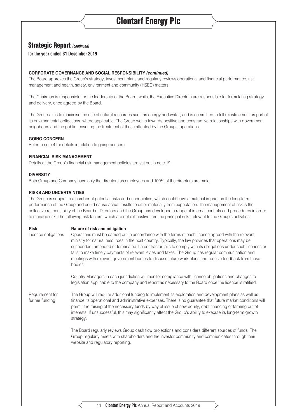### **Strategic Report** *(continued)*

#### **for the year ended 31 December 2019**

#### **CORPORATE GOVERNANCE AND SOCIAL RESPONSIBILITY (continued)**

The Board approves the Group's strategy, investment plans and regularly reviews operational and financial performance, risk management and health, safety, environment and community (HSEC) matters.

The Chairman is responsible for the leadership of the Board, whilst the Executive Directors are responsible for formulating strategy and delivery, once agreed by the Board.

The Group aims to maximise the use of natural resources such as energy and water, and is committed to full reinstatement as part of its environmental obligations, where applicable. The Group works towards positive and constructive relationships with government, neighbours and the public, ensuring fair treatment of those affected by the Group's operations.

#### **GOING CONCERN**

Refer to note 4 for details in relation to going concern.

#### **FINANCIAL RISK MANAGEMENT**

Details of the Group's financial risk management policies are set out in note 19.

#### **DIVERSITY**

Both Group and Company have only the directors as employees and 100% of the directors are male.

#### **RISKS AND UNCERTAINTIES**

The Group is subject to a number of potential risks and uncertainties, which could have a material impact on the long-term performance of the Group and could cause actual results to differ materially from expectation. The management of risk is the collective responsibility of the Board of Directors and the Group has developed a range of internal controls and procedures in order to manage risk. The following risk factors, which are not exhaustive, are the principal risks relevant to the Group's activities:

| <b>Risk</b>                        | Nature of risk and mitigation                                                                                                                                                                                                                                                                                                                                                                                                                                                                                                                             |
|------------------------------------|-----------------------------------------------------------------------------------------------------------------------------------------------------------------------------------------------------------------------------------------------------------------------------------------------------------------------------------------------------------------------------------------------------------------------------------------------------------------------------------------------------------------------------------------------------------|
| Licence obligations                | Operations must be carried out in accordance with the terms of each licence agreed with the relevant<br>ministry for natural resources in the host country. Typically, the law provides that operations may be<br>suspended, amended or terminated if a contractor fails to comply with its obligations under such licences or<br>fails to make timely payments of relevant levies and taxes. The Group has regular communication and<br>meetings with relevant government bodies to discuss future work plans and receive feedback from those<br>bodies. |
|                                    | Country Managers in each jurisdiction will monitor compliance with licence obligations and changes to<br>legislation applicable to the company and report as necessary to the Board once the licence is ratified.                                                                                                                                                                                                                                                                                                                                         |
| Requirement for<br>further funding | The Group will require additional funding to implement its exploration and development plans as well as<br>finance its operational and administrative expenses. There is no guarantee that future market conditions will<br>permit the raising of the necessary funds by way of issue of new equity, debt financing or farming out of<br>interests. If unsuccessful, this may significantly affect the Group's ability to execute its long-term growth<br>strategy.                                                                                       |
|                                    | The Board regularly reviews Group cash flow projections and considers different sources of funds. The<br>Group regularly meets with shareholders and the investor community and communicates through their<br>website and regulatory reporting.                                                                                                                                                                                                                                                                                                           |
|                                    |                                                                                                                                                                                                                                                                                                                                                                                                                                                                                                                                                           |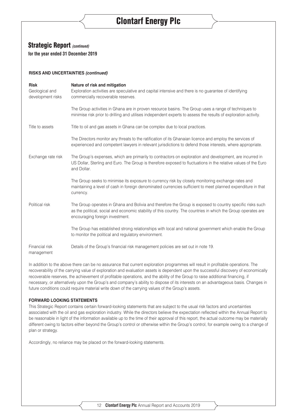### **Strategic Report** *(continued)*

**for the year ended 31 December 2019**

#### **RISKS AND UNCERTAINTIES (continued)**

| <b>Risk</b><br>Geological and<br>development risks | Nature of risk and mitigation<br>Exploration activities are speculative and capital intensive and there is no guarantee of identifying<br>commercially recoverable reserves.                                                                                   |
|----------------------------------------------------|----------------------------------------------------------------------------------------------------------------------------------------------------------------------------------------------------------------------------------------------------------------|
|                                                    | The Group activities in Ghana are in proven resource basins. The Group uses a range of techniques to<br>minimise risk prior to drilling and utilises independent experts to assess the results of exploration activity.                                        |
| Title to assets                                    | Title to oil and gas assets in Ghana can be complex due to local practices.                                                                                                                                                                                    |
|                                                    | The Directors monitor any threats to the ratification of its Ghanaian licence and employ the services of<br>experienced and competent lawyers in relevant jurisdictions to defend those interests, where appropriate.                                          |
| Exchange rate risk                                 | The Group's expenses, which are primarily to contractors on exploration and development, are incurred in<br>US Dollar, Sterling and Euro. The Group is therefore exposed to fluctuations in the relative values of the Euro<br>and Dollar.                     |
|                                                    | The Group seeks to minimise its exposure to currency risk by closely monitoring exchange rates and<br>maintaining a level of cash in foreign denominated currencies sufficient to meet planned expenditure in that<br>currency.                                |
| Political risk                                     | The Group operates in Ghana and Bolivia and therefore the Group is exposed to country specific risks such<br>as the political, social and economic stability of this country. The countries in which the Group operates are<br>encouraging foreign investment. |
|                                                    | The Group has established strong relationships with local and national government which enable the Group<br>to monitor the political and regulatory environment.                                                                                               |
| Financial risk<br>management                       | Details of the Group's financial risk management policies are set out in note 19.                                                                                                                                                                              |

In addition to the above there can be no assurance that current exploration programmes will result in profitable operations. The recoverability of the carrying value of exploration and evaluation assets is dependent upon the successful discovery of economically recoverable reserves, the achievement of profitable operations, and the ability of the Group to raise additional financing, if necessary, or alternatively upon the Group's and company's ability to dispose of its interests on an advantageous basis. Changes in future conditions could require material write down of the carrying values of the Group's assets.

#### **FORWARD LOOKING STATEMENTS**

This Strategic Report contains certain forward-looking statements that are subject to the usual risk factors and uncertainties associated with the oil and gas exploration industry. While the directors believe the expectation reflected within the Annual Report to be reasonable in light of the information available up to the time of their approval of this report, the actual outcome may be materially different owing to factors either beyond the Group's control or otherwise within the Group's control, for example owing to a change of plan or strategy.

Accordingly, no reliance may be placed on the forward-looking statements.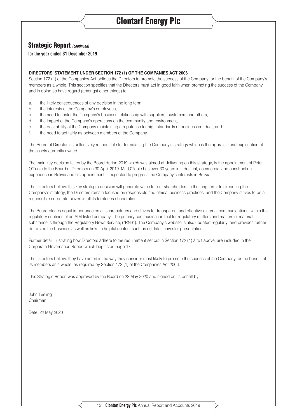### **Strategic Report** *(continued)*

#### **for the year ended 31 December 2019**

#### **DIRECTORS' STATEMENT UNDER SECTION 172 (1) OF THE COMPANIES ACT 2006**

Section 172 (1) of the Companies Act obliges the Directors to promote the success of the Company for the benefit of the Company's members as a whole. This section specifies that the Directors must act in good faith when promoting the success of the Company and in doing so have regard (amongst other things) to:

- a. the likely consequences of any decision in the long term,
- b. the interests of the Company's employees,
- c. the need to foster the Company's business relationship with suppliers, customers and others,
- d. the impact of the Company's operations on the community and environment,
- e. the desirability of the Company maintaining a reputation for high standards of business conduct, and
- f. the need to act fairly as between members of the Company.

The Board of Directors is collectively responsible for formulating the Company's strategy which is the appraisal and exploitation of the assets currently owned.

The main key decision taken by the Board during 2019 which was aimed at delivering on this strategy, is the appointment of Peter O'Toole to the Board of Directors on 30 April 2019. Mr. O'Toole has over 30 years in industrial, commercial and construction experience in Bolivia and his appointment is expected to progress the Company's interests in Bolivia.

The Directors believe this key strategic decision will generate value for our shareholders in the long term. In executing the Company's strategy, the Directors remain focused on responsible and ethical business practices, and the Company strives to be a responsible corporate citizen in all its territories of operation.

The Board places equal importance on all shareholders and strives for transparent and effective external communications, within the regulatory confines of an AIM-listed company. The primary communication tool for regulatory matters and matters of material substance is through the Regulatory News Service, ("RNS"). The Company's website is also updated regularly, and provides further details on the business as well as links to helpful content such as our latest investor presentations.

Further detail illustrating how Directors adhere to the requirement set out in Section 172 (1) a to f above, are included in the Corporate Governance Report which begins on page 17.

The Directors believe they have acted in the way they consider most likely to promote the success of the Company for the benefit of its members as a whole, as required by Section 172 (1) of the Companies Act 2006.

This Strategic Report was approved by the Board on 22 May 2020 and signed on its behalf by:

John Teeling Chairman

Date: 22 May 2020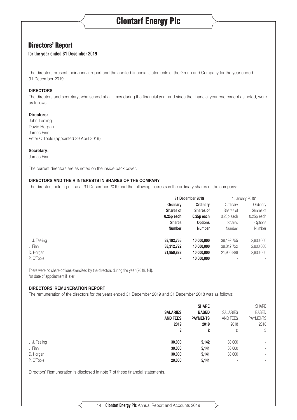### **Directors' Report**

#### **for the year ended 31 December 2019**

The directors present their annual report and the audited financial statements of the Group and Company for the year ended 31 December 2019.

#### **DIRECTORS**

The directors and secretary, who served at all times during the financial year and since the financial year end except as noted, were as follows:

#### **Directors:**

John Teeling David Horgan James Finn Peter O'Toole (appointed 29 April 2019)

#### **Secretary:**

James Finn

The current directors are as noted on the inside back cover.

#### **DIRECTORS AND THEIR INTERESTS IN SHARES OF THE COMPANY**

The directors holding office at 31 December 2019 had the following interests in the ordinary shares of the company:

|               | 31 December 2019 |                  | 1 January 2019* |              |
|---------------|------------------|------------------|-----------------|--------------|
|               | Ordinary         | Ordinary         | Ordinary        | Ordinary     |
|               | Shares of        | <b>Shares of</b> | Shares of       | Shares of    |
|               | 0.25p each       | 0.25p each       | $0.25p$ each    | $0.25p$ each |
|               | <b>Shares</b>    | <b>Options</b>   | <b>Shares</b>   | Options      |
|               | <b>Number</b>    | <b>Number</b>    | Number          | Number       |
| J. J. Teeling | 38,192,755       | 10,000,000       | 38, 192, 755    | 2,800,000    |
| J. Finn       | 38,312,722       | 10,000,000       | 38,312,722      | 2,800,000    |
| D. Horgan     | 21,950,888       | 10,000,000       | 21,950,888      | 2,800,000    |
| P. O'Toole    | ٠                | 10,000,000       |                 |              |

There were no share options exercised by the directors during the year (2018: Nil). \*or date of appointment if later.

#### **DIRECTORS' REMUNERATION REPORT**

The remuneration of the directors for the years ended 31 December 2019 and 31 December 2018 was as follows:

|               |                 | <b>SHARE</b>    |                          | <b>SHARE</b>             |
|---------------|-----------------|-----------------|--------------------------|--------------------------|
|               | <b>SALARIES</b> | <b>BASED</b>    | <b>SALARIES</b>          | <b>BASED</b>             |
|               | <b>AND FEES</b> | <b>PAYMENTS</b> | AND FEES                 | <b>PAYMENTS</b>          |
|               | 2019            | 2019            | 2018                     | 2018                     |
|               | £               | £               | £                        | £                        |
| J. J. Teeling | 30,000          | 5,142           | 30,000                   | ٠                        |
| J. Finn       | 30,000          | 5,141           | 30,000                   | $\overline{\phantom{a}}$ |
| D. Horgan     | 30,000          | 5,141           | 30,000                   | $\overline{\phantom{a}}$ |
| P. O'Toole    | 20,000          | 5,141           | $\overline{\phantom{a}}$ | ۰                        |

Directors' Remuneration is disclosed in note 7 of these financial statements.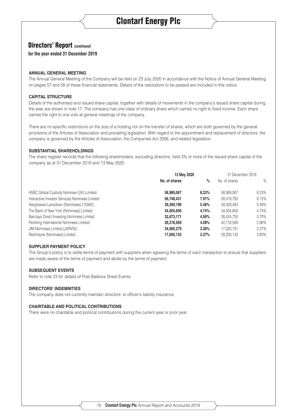### **Directors' Report** *(continued)*

#### **for the year ended 31 December 2019**

#### **ANNUAL GENERAL MEETING**

The Annual General Meeting of the Company will be held on 23 July 2020 in accordance with the Notice of Annual General Meeting on pages 57 and 58 of these financial statements. Details of the resolutions to be passed are included in this notice.

#### **CAPITAL STRUCTURE**

Details of the authorised and issued share capital, together with details of movements in the company's issued share capital during the year are shown in note 17. The company has one class of ordinary share which carries no right to fixed income. Each share carries the right to one vote at general meetings of the company.

There are no specific restrictions on the size of a holding nor on the transfer of shares, which are both governed by the general provisions of the Articles of Association and prevailing legislation. With regard to the appointment and replacement of directors, the company is governed by the Articles of Association, the Companies Act 2006, and related legislation.

#### **SUBSTANTIAL SHAREHOLDINGS**

The share register records that the following shareholders, excluding directors, held 3% or more of the issued share capital of the company as at 31 December 2019 and 13 May 2020:

|                                                | 13 May 2020   |       | 31 December 2019 |       |  |
|------------------------------------------------|---------------|-------|------------------|-------|--|
|                                                | No. of shares | $\%$  | No. of shares    | $\%$  |  |
| HSBC Global Custody Nominee (UK) Limited       | 58,989,067    | 8.23% | 58,989,067       | 8.23% |  |
| Interactive Investor Services Nominees Limited | 56,748,431    | 7.91% | 58.419.792       | 8.15% |  |
| Hargreaves Lansdown (Nominees) (15942)         | 39,269,199    | 5.48% | 39.329.493       | 5.49% |  |
| The Bank of New York (Nominees) Limited        | 34,004,600    | 4.74% | 34,004,600       | 4.74% |  |
| Barclays Direct Investing Nominees Limited     | 32,673,171    | 4.56% | 26.524.750       | 3.70% |  |
| Pershing International Nominees Limited        | 29,218,569    | 4.08% | 42.718.569       | 5.96% |  |
| JIM Nominees Limited (JARVIS)                  | 24.060.279    | 3.36% | 17.020.791       | 2.37% |  |
| Redmayne (Nominees) Limited                    | 17,000,133    | 2.37% | 28,200,133       | 3.93% |  |

#### **SUPPLIER PAYMENT POLICY**

The Group's policy is to settle terms of payment with suppliers when agreeing the terms of each transaction to ensure that suppliers are made aware of the terms of payment and abide by the terms of payment.

#### **SUBSEQUENT EVENTS**

Refer to note 23 for details of Post Balance Sheet Events.

#### **DIRECTORS' INDEMNITIES**

The company does not currently maintain directors' or officer's liability insurance.

#### **CHARITABLE AND POLITICAL CONTRIBUTIONS**

There were no charitable and political contributions during the current year or prior year.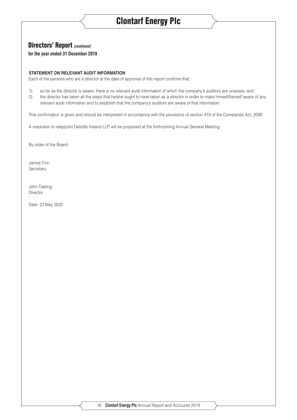### **Directors' Report** *(continued)*

**for the year ended 31 December 2019**

#### **STATEMENT ON RELEVANT AUDIT INFORMATION**

Each of the persons who are a director at the date of approval of this report confirms that:

1) so far as the director is aware, there is no relevant audit information of which the company's auditors are unaware; and

2) the director has taken all the steps that he/she ought to have taken as a director in order to make himself/herself aware of any relevant audit information and to establish that the company's auditors are aware of that information.

This confirmation is given and should be interpreted in accordance with the provisions of section 418 of the Companies Act, 2006.

A resolution to reappoint Deloitte Ireland LLP will be proposed at the forthcoming Annual General Meeting.

By order of the Board:

James Finn **Secretary** 

John Teeling Director

Date: 22 May 2020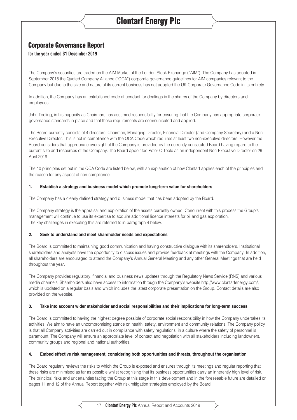## **Corporate Governance Report**

#### **for the year ended 31 December 2019**

The Company's securities are traded on the AIM Market of the London Stock Exchange ("AIM"). The Company has adopted in September 2018 the Quoted Company Alliance ("QCA") corporate governance guidelines for AIM companies relevant to the Company but due to the size and nature of its current business has not adopted the UK Corporate Governance Code in its entirety.

In addition, the Company has an established code of conduct for dealings in the shares of the Company by directors and employees.

John Teeling, in his capacity as Chairman, has assumed responsibility for ensuring that the Company has appropriate corporate governance standards in place and that these requirements are communicated and applied.

The Board currently consists of 4 directors: Chairman, Managing Director, Financial Director (and Company Secretary) and a Non-Executive Director. This is not in compliance with the QCA Code which requires at least two non-executive directors. However the Board considers that appropriate oversight of the Company is provided by the currently constituted Board having regard to the current size and resources of the Company. The Board appointed Peter O'Toole as an independent Non-Executive Director on 29 April 2019

The 10 principles set out in the QCA Code are listed below, with an explanation of how Clontarf applies each of the principles and the reason for any aspect of non-compliance.

#### **1. Establish a strategy and business model which promote long-term value for shareholders**

The Company has a clearly defined strategy and business model that has been adopted by the Board.

The Company strategy is the appraisal and exploitation of the assets currently owned. Concurrent with this process the Group's management will continue to use its expertise to acquire additional licence interests for oil and gas exploration. The key challenges in executing this are referred to in paragraph 4 below.

#### **2. Seek to understand and meet shareholder needs and expectations**

The Board is committed to maintaining good communication and having constructive dialogue with its shareholders. Institutional shareholders and analysts have the opportunity to discuss issues and provide feedback at meetings with the Company. In addition, all shareholders are encouraged to attend the Company's Annual General Meeting and any other General Meetings that are held throughout the year.

The Company provides regulatory, financial and business news updates through the Regulatory News Service (RNS) and various media channels. Shareholders also have access to information through the Company's website http://www.clontarfenergy.com/, which is updated on a regular basis and which includes the latest corporate presentation on the Group. Contact details are also provided on the website.

#### **3. Take into account wider stakeholder and social responsibilities and their implications for long-term success**

The Board is committed to having the highest degree possible of corporate social responsibility in how the Company undertakes its activities. We aim to have an uncompromising stance on health, safety, environment and community relations. The Company policy is that all Company activities are carried out in compliance with safety regulations, in a culture where the safety of personnel is paramount. The Company will ensure an appropriate level of contact and negotiation with all stakeholders including landowners, community groups and regional and national authorities.

#### **4. Embed effective risk management, considering both opportunities and threats, throughout the organisation**

The Board regularly reviews the risks to which the Group is exposed and ensures through its meetings and regular reporting that these risks are minimised as far as possible whilst recognising that its business opportunities carry an inherently high level of risk. The principal risks and uncertainties facing the Group at this stage in this development and in the foreseeable future are detailed on pages 11 and 12 of the Annual Report together with risk mitigation strategies employed by the Board.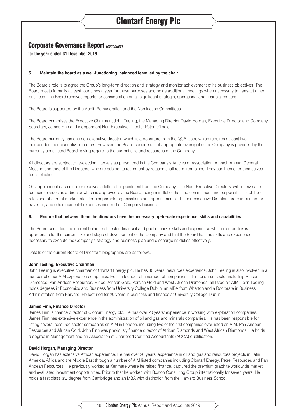### **Corporate Governance Report** *(continued)*

**for the year ended 31 December 2019**

#### **5. Maintain the board as a well-functioning, balanced team led by the chair**

The Board's role is to agree the Group's long-term direction and strategy and monitor achievement of its business objectives. The Board meets formally at least four times a year for these purposes and holds additional meetings when necessary to transact other business. The Board receives reports for consideration on all significant strategic, operational and financial matters.

The Board is supported by the Audit, Remuneration and the Nomination Committees.

The Board comprises the Executive Chairman, John Teeling, the Managing Director David Horgan, Executive Director and Company Secretary, James Finn and independent Non-Executive Director Peter O'Toole.

The Board currently has one non-executive director, which is a departure from the QCA Code which requires at least two independent non-executive directors. However, the Board considers that appropriate oversight of the Company is provided by the currently constituted Board having regard to the current size and resources of the Company.

All directors are subject to re-election intervals as prescribed in the Company's Articles of Association. At each Annual General Meeting one-third of the Directors, who are subject to retirement by rotation shall retire from office. They can then offer themselves for re-election.

On appointment each director receives a letter of appointment from the Company. The Non- Executive Directors, will receive a fee for their services as a director which is approved by the Board, being mindful of the time commitment and responsibilities of their roles and of current market rates for comparable organisations and appointments. The non-executive Directors are reimbursed for travelling and other incidental expenses incurred on Company business.

#### **6. Ensure that between them the directors have the necessary up-to-date experience, skills and capabilities**

The Board considers the current balance of sector, financial and public market skills and experience which it embodies is appropriate for the current size and stage of development of the Company and that the Board has the skills and experience necessary to execute the Company's strategy and business plan and discharge its duties effectively.

Details of the current Board of Directors' biographies are as follows:

#### **John Teeling, Executive Chairman**

John Teeling is executive chairman of Clontarf Energy plc. He has 40 years' resources experience. John Teeling is also involved in a number of other AIM exploration companies. He is a founder of a number of companies in the resource sector including African Diamonds, Pan Andean Resources, Minco, African Gold, Persian Gold and West African Diamonds, all listed on AIM. John Teeling holds degrees in Economics and Business from University College Dublin, an MBA from Wharton and a Doctorate in Business Administration from Harvard. He lectured for 20 years in business and finance at University College Dublin.

#### **James Finn, Finance Director**

James Finn is finance director of Clontarf Energy plc. He has over 20 years' experience in working with exploration companies. James Finn has extensive experience in the administration of oil and gas and minerals companies. He has been responsible for listing several resource sector companies on AIM in London, including two of the first companies ever listed on AIM, Pan Andean Resources and African Gold. John Finn was previously finance director of African Diamonds and West African Diamonds. He holds a degree in Management and an Association of Chartered Certified Accountants (ACCA) qualification.

#### **David Horgan, Managing Director**

David Horgan has extensive African experience. He has over 20 years' experience in oil and gas and resources projects in Latin America, Africa and the Middle East through a number of AIM listed companies including Clontarf Energy, Petrel Resources and Pan Andean Resources. He previously worked at Kenmare where he raised finance, captured the premium graphite worldwide market and evaluated investment opportunities. Prior to that he worked with Boston Consulting Group internationally for seven years. He holds a first class law degree from Cambridge and an MBA with distinction from the Harvard Business School.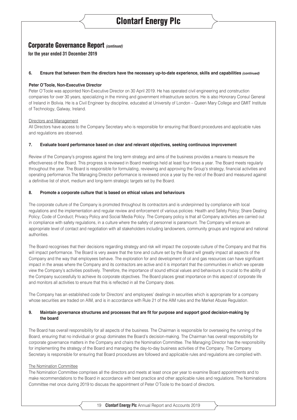### **Corporate Governance Report** *(continued)*

**for the year ended 31 December 2019**

#### **6. Ensure that between them the directors have the necessary up-to-date experience, skills and capabilities (continued)**

#### **Peter O'Toole, Non-Executive Director**

Peter O'Toole was appointed Non-Executive Director on 30 April 2019. He has operated civil engineering and construction companies for over 30 years, specializing in the mining and government infrastructure sectors. He is also Honorary Consul General of Ireland in Bolivia. He is a Civil Engineer by discipline, educated at University of London – Queen Mary College and GMIT Institute of Technology, Galway, Ireland.

#### Directors and Management

All Directors have access to the Company Secretary who is responsible for ensuring that Board procedures and applicable rules and regulations are observed.

#### **7. Evaluate board performance based on clear and relevant objectives, seeking continuous improvement**

Review of the Company's progress against the long term strategy and aims of the business provides a means to measure the effectiveness of the Board. This progress is reviewed in Board meetings held at least four times a year. The Board meets regularly throughout the year. The Board is responsible for formulating, reviewing and approving the Group's strategy, financial activities and operating performance.The Managing Director performance is reviewed once a year by the rest of the Board and measured against a definitive list of short, medium and long-term strategic targets set by the Board.

#### **8. Promote a corporate culture that is based on ethical values and behaviours**

The corporate culture of the Company is promoted throughout its contractors and is underpinned by compliance with local regulations and the implementation and regular review and enforcement of various policies: Health and Safety Policy; Share Dealing Policy; Code of Conduct; Privacy Policy and Social Media Policy. The Company policy is that all Company activities are carried out in compliance with safety regulations, in a culture where the safety of personnel is paramount. The Company will ensure an appropriate level of contact and negotiation with all stakeholders including landowners, community groups and regional and national authorities.

The Board recognises that their decisions regarding strategy and risk will impact the corporate culture of the Company and that this will impact performance. The Board is very aware that the tone and culture set by the Board will greatly impact all aspects of the Company and the way that employees behave. The exploration for and development of oil and gas resources can have significant impact in the areas where the Company and its contractors are active and it is important that the communities in which we operate view the Company's activities positively. Therefore, the importance of sound ethical values and behaviours is crucial to the ability of the Company successfully to achieve its corporate objectives. The Board places great importance on this aspect of corporate life and monitors all activities to ensure that this is reflected in all the Company does.

The Company has an established code for Directors' and employees' dealings in securities which is appropriate for a company whose securities are traded on AIM, and is in accordance with Rule 21 of the AIM rules and the Market Abuse Regulation.

#### **9. Maintain governance structures and processes that are fit for purpose and support good decision-making by the board**

The Board has overall responsibility for all aspects of the business. The Chairman is responsible for overseeing the running of the Board, ensuring that no individual or group dominates the Board's decision-making. The Chairman has overall responsibility for corporate governance matters in the Company and chairs the Nomination Committee. The Managing Director has the responsibility for implementing the strategy of the Board and managing the day-to-day business activities of the Company. The Company Secretary is responsible for ensuring that Board procedures are followed and applicable rules and regulations are complied with.

#### The Nomination Committee

The Nomination Committee comprises all the directors and meets at least once per year to examine Board appointments and to make recommendations to the Board in accordance with best practice and other applicable rules and regulations. The Nominations Committee met once during 2019 to discuss the appointment of Peter O'Toole to the board of directors.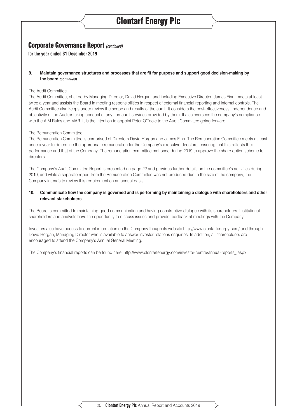### **Corporate Governance Report** *(continued)*

**for the year ended 31 December 2019**

**9. Maintain governance structures and processes that are fit for purpose and support good decision-making by the board (continued)**

#### The Audit Committee

The Audit Committee, chaired by Managing Director, David Horgan, and including Executive Director, James Finn, meets at least twice a year and assists the Board in meeting responsibilities in respect of external financial reporting and internal controls. The Audit Committee also keeps under review the scope and results of the audit. It considers the cost-effectiveness, independence and objectivity of the Auditor taking account of any non-audit services provided by them. It also oversees the company's compliance with the AIM Rules and MAR. It is the intention to appoint Peter O'Toole to the Audit Committee going forward.

#### The Remuneration Committee

The Remuneration Committee is comprised of Directors David Horgan and James Finn. The Remuneration Committee meets at least once a year to determine the appropriate remuneration for the Company's executive directors, ensuring that this reflects their performance and that of the Company. The remuneration committee met once during 2019 to approve the share option scheme for directors.

The Company's Audit Committee Report is presented on page 22 and provides further details on the committee's activities during 2019, and while a separate report from the Remuneration Committee was not produced due to the size of the company, the Company intends to review this requirement on an annual basis.

#### **10. Communicate how the company is governed and is performing by maintaining a dialogue with shareholders and other relevant stakeholders**

The Board is committed to maintaining good communication and having constructive dialogue with its shareholders. Institutional shareholders and analysts have the opportunity to discuss issues and provide feedback at meetings with the Company.

Investors also have access to current information on the Company though its website http://www.clontarfenergy.com/ and through David Horgan, Managing Director who is available to answer investor relations enquiries. In addition, all shareholders are encouraged to attend the Company's Annual General Meeting.

The Company's financial reports can be found here: http://www.clontarfenergy.com/investor-centre/annual-reports\_.aspx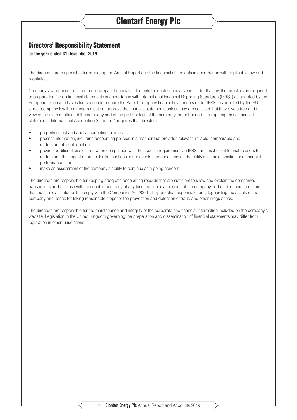## **Directors' Responsibility Statement**

#### **for the year ended 31 December 2019**

The directors are responsible for preparing the Annual Report and the financial statements in accordance with applicable law and regulations.

Company law requires the directors to prepare financial statements for each financial year. Under that law the directors are required to prepare the Group financial statements in accordance with International Financial Reporting Standards (IFRSs) as adopted by the European Union and have also chosen to prepare the Parent Company financial statements under IFRSs as adopted by the EU. Under company law the directors must not approve the financial statements unless they are satisfied that they give a true and fair view of the state of affairs of the company and of the profit or loss of the company for that period. In preparing these financial statements, International Accounting Standard 1 requires that directors:

- properly select and apply accounting policies;
- present information, including accounting policies in a manner that provides relevant, reliable, comparable and understandable information;
- provide additional disclosures when compliance with the specific requirements in IFRSs are insufficient to enable users to understand the impact of particular transactions, other events and conditions on the entity's financial position and financial performance; and
- make an assessment of the company's ability to continue as a going concern.

The directors are responsible for keeping adequate accounting records that are sufficient to show and explain the company's transactions and disclose with reasonable accuracy at any time the financial position of the company and enable them to ensure that the financial statements comply with the Companies Act 2006. They are also responsible for safeguarding the assets of the company and hence for taking reasonable steps for the prevention and detection of fraud and other irregularities.

The directors are responsible for the maintenance and integrity of the corporate and financial information included on the company's website. Legislation in the United Kingdom governing the preparation and dissemination of financial statements may differ from legislation in other jurisdictions.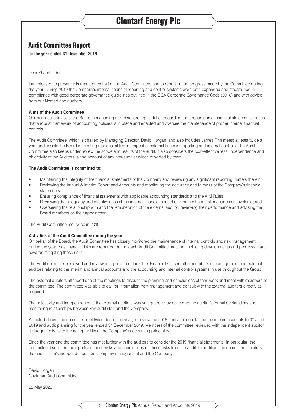## **Audit Committee Report**

#### **for the year ended 31 December 2019**

Dear Shareholders,

I am pleased to present this report on behalf of the Audit Committee and to report on the progress made by the Committee during the year. During 2019 the Company's internal financial reporting and control systems were both expanded and streamlined in compliance with good corporate governance guidelines outlined in the QCA Corporate Governance Code (2018) and with advice from our Nomad and auditors.

#### **Aims of the Audit Committee**

Our purpose is to assist the Board in managing risk, discharging its duties regarding the preparation of financial statements, ensure that a robust framework of accounting policies is in place and enacted and oversee the maintenance of proper internal financial controls.

The Audit Committee, which is chaired by Managing Director, David Horgan, and also includes James Finn meets at least twice a year and assists the Board in meeting responsibilities in respect of external financial reporting and internal controls. The Audit Committee also keeps under review the scope and results of the audit. It also considers the cost-effectiveness, independence and objectivity of the Auditors taking account of any non-audit services provided by them.

#### **The Audit Committee is committed to:**

- Maintaining the integrity of the financial statements of the Company and reviewing any significant reporting matters therein;
- Reviewing the Annual & Interim Report and Accounts and monitoring the accuracy and fairness of the Company's financial statements;
- Ensuring compliance of financial statements with applicable accounting standards and the AIM Rules;
- Reviewing the adequacy and effectiveness of the internal financial control environment and risk management systems; and
- Overseeing the relationship with and the remuneration of the external auditor, reviewing their performance and advising the Board members on their appointment.

The Audit Committee met twice in 2019.

#### **Activities of the Audit Committee during the year**

On behalf of the Board, the Audit Committee has closely monitored the maintenance of internal controls and risk management during the year. Key financial risks are reported during each Audit Committee meeting, including developments and progress made towards mitigating these risks.

The Audit committee received and reviewed reports from the Chief Financial Officer, other members of management and external auditors relating to the interim and annual accounts and the accounting and internal control systems in use throughout the Group.

The external auditors attended one of the meetings to discuss the planning and conclusions of their work and meet with members of the committee. The committee was able to call for information from management and consult with the external auditors directly as required.

The objectivity and independence of the external auditors was safeguarded by reviewing the auditor's formal declarations and monitoring relationships between key audit staff and the Company.

As noted above, the committee met twice during the year, to review the 2018 annual accounts and the interim accounts to 30 June 2019 and audit planning for the year ended 31 December 2019. Members of the committee reviewed with the independent auditor its judgements as to the acceptability of the Company's accounting principles.

Since the year end the committee has met further with the auditors to consider the 2019 financial statements. In particular, the committee discussed the significant audit risks and conclusions on those risks from the audit. In addition, the committee monitors the auditor firm's independence from Company management and the Company.

David Horgan Chairman Audit Committee

22 May 2020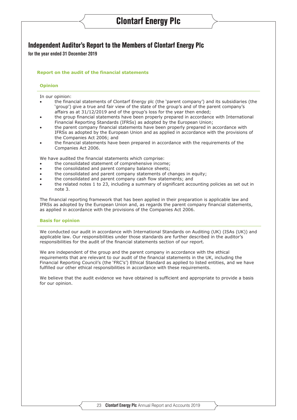### **Independent Auditor's Report to the Members of Clontarf Energy Plc**

#### **for the year ended 31 December 2019**

#### **Report on the audit of the financial statements**

#### **Opinion**

In our opinion:

- the financial statements of Clontarf Energy plc (the 'parent company') and its subsidiaries (the 'group') give a true and fair view of the state of the group's and of the parent company's affairs as at  $31/12/2019$  and of the group's loss for the year then ended;
- the group financial statements have been properly prepared in accordance with International Financial Reporting Standards (IFRSs) as adopted by the European Union;
- the parent company financial statements have been properly prepared in accordance with IFRSs as adopted by the European Union and as applied in accordance with the provisions of the Companies Act 2006; and
- the financial statements have been prepared in accordance with the requirements of the Companies Act 2006.

We have audited the financial statements which comprise:

- the consolidated statement of comprehensive income;
- the consolidated and parent company balance sheets;
- the consolidated and parent company statements of changes in equity;
- the consolidated and parent company cash flow statements; and
- the related notes 1 to 23, including a summary of significant accounting policies as set out in note 3.

The financial reporting framework that has been applied in their preparation is applicable law and IFRSs as adopted by the European Union and, as regards the parent company financial statements, as applied in accordance with the provisions of the Companies Act 2006.

#### **Basis for opinion**

We conducted our audit in accordance with International Standards on Auditing (UK) (ISAs (UK)) and applicable law. Our responsibilities under those standards are further described in the auditor's responsibilities for the audit of the financial statements section of our report.

We are independent of the group and the parent company in accordance with the ethical requirements that are relevant to our audit of the financial statements in the UK, including the Financial Reporting Council's (the 'FRC's') Ethical Standard as applied to listed entities, and we have fulfilled our other ethical responsibilities in accordance with these requirements.

We believe that the audit evidence we have obtained is sufficient and appropriate to provide a basis for our opinion.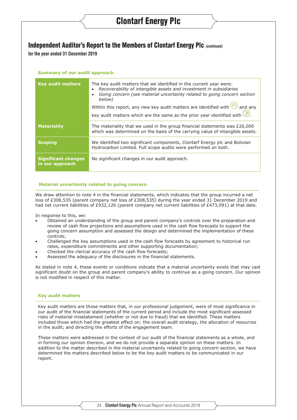### **Independent Auditor's Report to the Members of Clontarf Energy Plc** *(continued)*

**for the year ended 31 December 2019**

#### **Summary of our audit approach**

| <b>Key audit matters</b>                      | The key audit matters that we identified in the current year were:<br>Recoverability of intangible assets and investment in subsidiaries<br>$\bullet$<br>Going concern (see material uncertainty related to going concern section<br>$\bullet$<br>below)<br>Within this report, any new key audit matters are identified with $\bigotimes$ and any<br>key audit matters which are the same as the prior year identified with $\gg$ . |
|-----------------------------------------------|--------------------------------------------------------------------------------------------------------------------------------------------------------------------------------------------------------------------------------------------------------------------------------------------------------------------------------------------------------------------------------------------------------------------------------------|
| <b>Materiality</b>                            | The materiality that we used in the group financial statements was £26,000<br>which was determined on the basis of the carrying value of intangible assets.                                                                                                                                                                                                                                                                          |
| <b>Scoping</b>                                | We identified two significant components, Clontarf Energy plc and Bolivian<br>Hydrocarbon Limited. Full scope audits were performed on both.                                                                                                                                                                                                                                                                                         |
| <b>Significant changes</b><br>in our approach | No significant changes in our audit approach.                                                                                                                                                                                                                                                                                                                                                                                        |

#### **Material uncertainty related to going concern**

We draw attention to note 4 in the financial statements, which indicates that the group incurred a net loss of £308,535 (parent company net loss of £308,535) during the year ended 31 December 2019 and had net current liabilities of £932,126 (parent company net current liabilities of £473,091) at that date.

In response to this, we:

- Obtained an understanding of the group and parent company's controls over the preparation and review of cash flow projections and assumptions used in the cash flow forecasts to support the going concern assumption and assessed the design and determined the implementation of these controls;
- Challenged the key assumptions used in the cash flow forecasts by agreement to historical run rates, expenditure commitments and other supporting documentation;
- Checked the clerical accuracy of the cash flow forecasts;
- Assessed the adequacy of the disclosures in the financial statements.

As stated in note 4, these events or conditions indicate that a material uncertainty exists that may cast significant doubt on the group and parent company's ability to continue as a going concern. Our opinion is not modified in respect of this matter.

#### **Key audit matters**

Key audit matters are those matters that, in our professional judgement, were of most significance in our audit of the financial statements of the current period and include the most significant assessed risks of material misstatement (whether or not due to fraud) that we identified. These matters included those which had the greatest effect on: the overall audit strategy, the allocation of resources in the audit; and directing the efforts of the engagement team.

These matters were addressed in the context of our audit of the financial statements as a whole, and in forming our opinion thereon, and we do not provide a separate opinion on these matters. In addition to the matter described in the material uncertainty related to going concern section, we have determined the matters described below to be the key audit matters to be communicated in our report.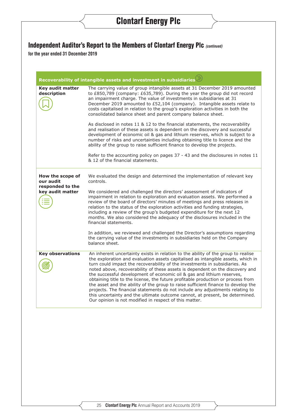## **Independent Auditor's Report to the Members of Clontarf Energy Plc** *(continued)*

**for the year ended 31 December 2019**

|                                                                       | Recoverability of intangible assets and investment in subsidiaries                                                                                                                                                                                                                                                                                                                                                                                                                                                                                                                                                                                                                                                                                                                                                                                                                                                                                                                                      |
|-----------------------------------------------------------------------|---------------------------------------------------------------------------------------------------------------------------------------------------------------------------------------------------------------------------------------------------------------------------------------------------------------------------------------------------------------------------------------------------------------------------------------------------------------------------------------------------------------------------------------------------------------------------------------------------------------------------------------------------------------------------------------------------------------------------------------------------------------------------------------------------------------------------------------------------------------------------------------------------------------------------------------------------------------------------------------------------------|
| <b>Key audit matter</b><br>description                                | The carrying value of group intangible assets at 31 December 2019 amounted<br>to £850,789 (company: £635,789). During the year the group did not record<br>an impairment charge. The value of investments in subsidiaries at 31<br>December 2019 amounted to £52,104 (company). Intangible assets relate to<br>costs capitalised in relation to the group's exploration activities in both the<br>consolidated balance sheet and parent company balance sheet.<br>As disclosed in notes 11 & 12 to the financial statements, the recoverability<br>and realisation of these assets is dependent on the discovery and successful<br>development of economic oil & gas and lithium reserves, which is subject to a<br>number of risks and uncertainties including obtaining title to licence and the<br>ability of the group to raise sufficient finance to develop the projects.<br>Refer to the accounting policy on pages 37 - 43 and the disclosures in notes 11<br>& 12 of the financial statements. |
|                                                                       |                                                                                                                                                                                                                                                                                                                                                                                                                                                                                                                                                                                                                                                                                                                                                                                                                                                                                                                                                                                                         |
| How the scope of<br>our audit<br>responded to the<br>key audit matter | We evaluated the design and determined the implementation of relevant key<br>controls.                                                                                                                                                                                                                                                                                                                                                                                                                                                                                                                                                                                                                                                                                                                                                                                                                                                                                                                  |
|                                                                       | We considered and challenged the directors' assessment of indicators of<br>impairment in relation to exploration and evaluation assets. We performed a<br>review of the board of directors' minutes of meetings and press releases in<br>relation to the status of the exploration activities and funding strategies,<br>including a review of the group's budgeted expenditure for the next 12<br>months. We also considered the adequacy of the disclosures included in the<br>financial statements.                                                                                                                                                                                                                                                                                                                                                                                                                                                                                                  |
|                                                                       | In addition, we reviewed and challenged the Director's assumptions regarding<br>the carrying value of the investments in subsidiaries held on the Company<br>balance sheet.                                                                                                                                                                                                                                                                                                                                                                                                                                                                                                                                                                                                                                                                                                                                                                                                                             |
| <b>Key observations</b>                                               | An inherent uncertainty exists in relation to the ability of the group to realise<br>the exploration and evaluation assets capitalised as intangible assets, which in<br>turn could impact the recoverability of the investments in subsidiaries. As<br>noted above, recoverability of these assets is dependent on the discovery and<br>the successful development of economic oil & gas and lithium reserves,<br>obtaining title to the license, the future profitable production or process from<br>the asset and the ability of the group to raise sufficient finance to develop the<br>projects. The financial statements do not include any adjustments relating to<br>this uncertainty and the ultimate outcome cannot, at present, be determined.<br>Our opinion is not modified in respect of this matter.                                                                                                                                                                                     |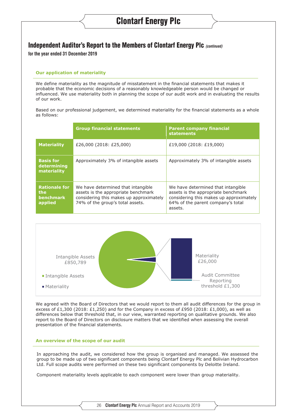### **Independent Auditor's Report to the Members of Clontarf Energy Plc** *(continued)*

**for the year ended 31 December 2019**

#### **Our application of materiality**

We define materiality as the magnitude of misstatement in the financial statements that makes it probable that the economic decisions of a reasonably knowledgeable person would be changed or influenced. We use materiality both in planning the scope of our audit work and in evaluating the results of our work.

Based on our professional judgement, we determined materiality for the financial statements as a whole as follows:

|                                                            | <b>Group financial statements</b>                                                                                                                        | <b>Parent company financial</b><br><b>statements</b>                                                                                                                 |
|------------------------------------------------------------|----------------------------------------------------------------------------------------------------------------------------------------------------------|----------------------------------------------------------------------------------------------------------------------------------------------------------------------|
| <b>Materiality</b>                                         | £26,000 (2018: £25,000)                                                                                                                                  | £19,000 (2018: £19,000)                                                                                                                                              |
| <b>Basis for</b><br>determining<br>materiality             | Approximately 3% of intangible assets                                                                                                                    | Approximately 3% of intangible assets                                                                                                                                |
| <b>Rationale for</b><br>the<br><b>benchmark</b><br>applied | We have determined that intangible<br>assets is the appropriate benchmark<br>considering this makes up approximately<br>74% of the group's total assets. | We have determined that intangible<br>assets is the appropriate benchmark<br>considering this makes up approximately<br>64% of the parent company's total<br>assets. |



We agreed with the Board of Directors that we would report to them all audit differences for the group in excess of £1,300 (2018: £1,250) and for the Company in excess of £950 (2018: £1,000), as well as differences below that threshold that, in our view, warranted reporting on qualitative grounds. We also report to the Board of Directors on disclosure matters that we identified when assessing the overall presentation of the financial statements.

#### **An overview of the scope of our audit**

In approaching the audit, we considered how the group is organised and managed. We assessed the group to be made up of two significant components being Clontarf Energy Plc and Bolivian Hydrocarbon Ltd. Full scope audits were performed on these two significant components by Deloitte Ireland.

Component materiality levels applicable to each component were lower than group materiality.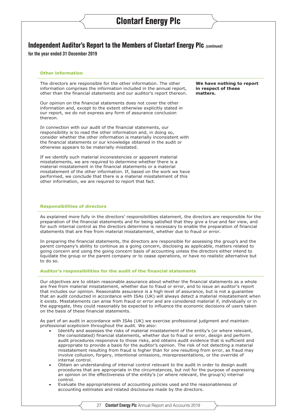### **Independent Auditor's Report to the Members of Clontarf Energy Plc** *(continued)*

**for the year ended 31 December 2019**

#### **Other information**

The directors are responsible for the other information. The other information comprises the information included in the annual report, other than the financial statements and our auditor's report thereon.

Our opinion on the financial statements does not cover the other information and, except to the extent otherwise explicitly stated in our report, we do not express any form of assurance conclusion thereon.

In connection with our audit of the financial statements, our responsibility is to read the other information and, in doing so, consider whether the other information is materially inconsistent with the financial statements or our knowledge obtained in the audit or otherwise appears to be materially misstated.

If we identify such material inconsistencies or apparent material misstatements, we are required to determine whether there is a material misstatement in the financial statements or a material misstatement of the other information. If, based on the work we have performed, we conclude that there is a material misstatement of this other information, we are required to report that fact.

#### **Responsibilities of directors**

As explained more fully in the directors' responsibilities statement, the directors are responsible for the preparation of the financial statements and for being satisfied that they give a true and fair view, and for such internal control as the directors determine is necessary to enable the preparation of financial statements that are free from material misstatement, whether due to fraud or error.

In preparing the financial statements, the directors are responsible for assessing the group's and the parent company's ability to continue as a going concern, disclosing as applicable, matters related to going concern and using the going concern basis of accounting unless the directors either intend to liquidate the group or the parent company or to cease operations, or have no realistic alternative but to do so.

#### Auditor's responsibilities for the audit of the financial statements

Our objectives are to obtain reasonable assurance about whether the financial statements as a whole are free from material misstatement, whether due to fraud or error, and to issue an auditor's report that includes our opinion. Reasonable assurance is a high level of assurance, but is not a guarantee that an audit conducted in accordance with ISAs (UK) will always detect a material misstatement when it exists. Misstatements can arise from fraud or error and are considered material if, individually or in the aggregate, they could reasonably be expected to influence the economic decisions of users taken on the basis of these financial statements.

As part of an audit in accordance with ISAs (UK) we exercise professional judgment and maintain professional scepticism throughout the audit. We also:

- Identify and assesses the risks of material misstatement of the entity's (or where relevant, the consolidated) financial statements, whether due to fraud or error, design and perform audit procedures responsive to those risks, and obtains audit evidence that is sufficient and appropriate to provide a basis for the auditor's opinion. The risk of not detecting a material misstatement resulting from fraud is higher than for one resulting from error, as fraud may involve collusion, forgery, intentional omissions, misrepresentations, or the override of internal control.
- Obtain an understanding of internal control relevant to the audit in order to design audit procedures that are appropriate in the circumstances, but not for the purpose of expressing an opinion on the effectiveness of the entity's (or where relevant, the group's) internal control.
- Evaluate the appropriateness of accounting policies used and the reasonableness of accounting estimates and related disclosures made by the directors.

**We have nothing to report in respect of these matters.**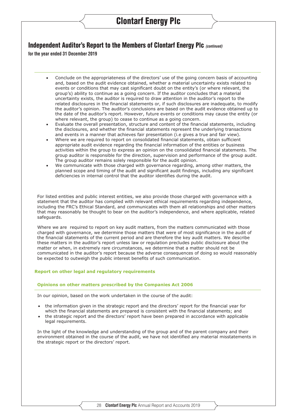### **Independent Auditor's Report to the Members of Clontarf Energy Plc** *(continued)*

**for the year ended 31 December 2019**

- Conclude on the appropriateness of the directors' use of the going concern basis of accounting and, based on the audit evidence obtained, whether a material uncertainty exists related to events or conditions that may cast significant doubt on the entity's (or where relevant, the group's) ability to continue as a going concern. If the auditor concludes that a material uncertainty exists, the auditor is required to draw attention in the auditor's report to the related disclosures in the financial statements or, if such disclosures are inadequate, to modify the auditor's opinion. The auditor's conclusions are based on the audit evidence obtained up to the date of the auditor's report. However, future events or conditions may cause the entity (or where relevant, the group) to cease to continue as a going concern.
- x Evaluate the overall presentation, structure and content of the financial statements, including the disclosures, and whether the financial statements represent the underlying transactions and events in a manner that achieves fair presentation (i.e gives a true and fair view).
- Where we are required to report on consolidated financial statements, obtain sufficient appropriate audit evidence regarding the financial information of the entities or business activities within the group to express an opinion on the consolidated financial statements. The group auditor is responsible for the direction, supervision and performance of the group audit. The group auditor remains solely responsible for the audit opinion.
- We communicate with those charged with governance regarding, among other matters, the planned scope and timing of the audit and significant audit findings, including any significant deficiencies in internal control that the auditor identifies during the audit.

For listed entities and public interest entities, we also provide those charged with governance with a statement that the auditor has complied with relevant ethical requirements regarding independence, including the FRC's Ethical Standard, and communicates with them all relationships and other matters that may reasonably be thought to bear on the auditor's independence, and where applicable, related safeguards.

Where we are required to report on key audit matters, from the matters communicated with those charged with governance, we determine those matters that were of most significance in the audit of the financial statements of the current period and are therefore the key audit matters. We describe these matters in the auditor's report unless law or regulation precludes public disclosure about the matter or when, in extremely rare circumstances, we determine that a matter should not be communicated in the auditor's report because the adverse consequences of doing so would reasonably be expected to outweigh the public interest benefits of such communication.

#### **Report on other legal and regulatory requirements**

#### **Opinions on other matters prescribed by the Companies Act 2006**

In our opinion, based on the work undertaken in the course of the audit:

- the information given in the strategic report and the directors' report for the financial year for which the financial statements are prepared is consistent with the financial statements; and
- the strategic report and the directors' report have been prepared in accordance with applicable legal requirements.

In the light of the knowledge and understanding of the group and of the parent company and their environment obtained in the course of the audit, we have not identified any material misstatements in the strategic report or the directors' report.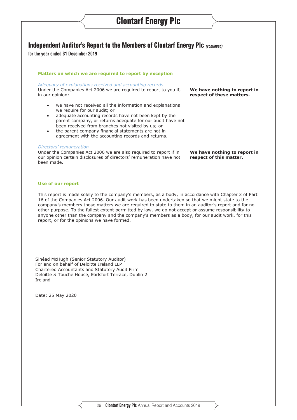### **Independent Auditor's Report to the Members of Clontarf Energy Plc** *(continued)*

#### **for the year ended 31 December 2019**

#### **Matters on which we are required to report by exception**

*Adequacy of explanations received and accounting records*  Under the Companies Act 2006 we are required to report to you if, in our opinion:

- we have not received all the information and explanations we require for our audit; or
- adequate accounting records have not been kept by the parent company, or returns adequate for our audit have not been received from branches not visited by us; or
- the parent company financial statements are not in agreement with the accounting records and returns.

#### *Directors'* remuneration

Under the Companies Act 2006 we are also required to report if in our opinion certain disclosures of directors' remuneration have not been made.

**We have nothing to report in respect of this matter.** 

**We have nothing to report in respect of these matters.** 

#### **Use of our report**

This report is made solely to the company's members, as a body, in accordance with Chapter 3 of Part 16 of the Companies Act 2006. Our audit work has been undertaken so that we might state to the company's members those matters we are required to state to them in an auditor's report and for no other purpose. To the fullest extent permitted by law, we do not accept or assume responsibility to anyone other than the company and the company's members as a body, for our audit work, for this report, or for the opinions we have formed.

Sinéad McHugh (Senior Statutory Auditor) For and on behalf of Deloitte Ireland LLP Chartered Accountants and Statutory Audit Firm Deloitte & Touche House, Earlsfort Terrace, Dublin 2 Ireland

Date: 25 May 2020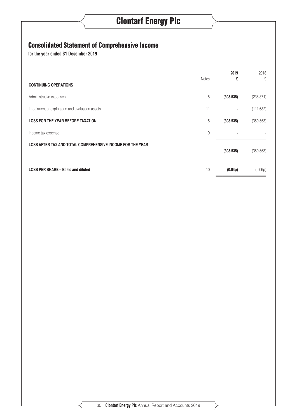## **Consolidated Statement of Comprehensive Income**

### **for the year ended 31 December 2019**

|                                                            | <b>Notes</b> | 2019<br>£  | 2018<br>£  |
|------------------------------------------------------------|--------------|------------|------------|
| <b>CONTINUING OPERATIONS</b>                               |              |            |            |
| Administrative expenses                                    | 5            | (308, 535) | (238, 871) |
| Impairment of exploration and evaluation assets            | 11           | ٠          | (111, 682) |
| <b>LOSS FOR THE YEAR BEFORE TAXATION</b>                   | 5            | (308, 535) | (350, 553) |
| Income tax expense                                         | 9            |            |            |
| LOSS AFTER TAX AND TOTAL COMPREHENSIVE INCOME FOR THE YEAR |              |            |            |
|                                                            |              | (308, 535) | (350, 553) |
| <b>LOSS PER SHARE - Basic and diluted</b>                  | 10           | (0.04p)    | (0.06p)    |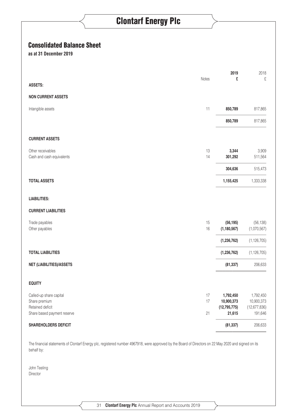## **Consolidated Balance Sheet**

**as at 31 December 2019**

| Notes<br>£<br><b>ASSETS:</b><br><b>NON CURRENT ASSETS</b><br>Intangible assets<br>11<br>850,789<br>850,789<br><b>CURRENT ASSETS</b><br>Other receivables<br>13<br>3,344<br>Cash and cash equivalents<br>14<br>301,292<br>511,564<br>304,636<br><b>TOTAL ASSETS</b><br>1,155,425<br><b>LIABILITIES:</b><br><b>CURRENT LIABILITIES</b> |  | 2019 | 2018           |
|--------------------------------------------------------------------------------------------------------------------------------------------------------------------------------------------------------------------------------------------------------------------------------------------------------------------------------------|--|------|----------------|
|                                                                                                                                                                                                                                                                                                                                      |  |      | £              |
|                                                                                                                                                                                                                                                                                                                                      |  |      |                |
|                                                                                                                                                                                                                                                                                                                                      |  |      |                |
|                                                                                                                                                                                                                                                                                                                                      |  |      | 817,865        |
|                                                                                                                                                                                                                                                                                                                                      |  |      | 817,865        |
|                                                                                                                                                                                                                                                                                                                                      |  |      |                |
|                                                                                                                                                                                                                                                                                                                                      |  |      | 3,909          |
|                                                                                                                                                                                                                                                                                                                                      |  |      |                |
|                                                                                                                                                                                                                                                                                                                                      |  |      | 515,473        |
|                                                                                                                                                                                                                                                                                                                                      |  |      | 1,333,338      |
|                                                                                                                                                                                                                                                                                                                                      |  |      |                |
|                                                                                                                                                                                                                                                                                                                                      |  |      |                |
| 15<br>Trade payables<br>(56, 195)                                                                                                                                                                                                                                                                                                    |  |      | (56, 138)      |
| Other payables<br>16<br>(1, 180, 567)                                                                                                                                                                                                                                                                                                |  |      | (1,070,567)    |
| (1, 236, 762)                                                                                                                                                                                                                                                                                                                        |  |      | (1, 126, 705)  |
| <b>TOTAL LIABILITIES</b><br>(1, 236, 762)                                                                                                                                                                                                                                                                                            |  |      | (1, 126, 705)  |
| <b>NET (LIABILITIES)/ASSETS</b><br>(81, 337)                                                                                                                                                                                                                                                                                         |  |      | 206,633        |
| <b>EQUITY</b>                                                                                                                                                                                                                                                                                                                        |  |      |                |
| Called-up share capital<br>17<br>1,792,450                                                                                                                                                                                                                                                                                           |  |      | 1,792,450      |
| Share premium<br>17<br>10,900,373                                                                                                                                                                                                                                                                                                    |  |      | 10,900,373     |
| Retained deficit<br>(12, 795, 775)                                                                                                                                                                                                                                                                                                   |  |      | (12, 677, 836) |
| 21<br>Share based payment reserve<br>21,615                                                                                                                                                                                                                                                                                          |  |      | 191,646        |
| SHAREHOLDERS DEFICIT<br>(81, 337)                                                                                                                                                                                                                                                                                                    |  |      | 206,633        |

The financial statements of Clontarf Energy plc, registered number 4967918, were approved by the Board of Directors on 22 May 2020 and signed on its behalf by:

John Teeling Director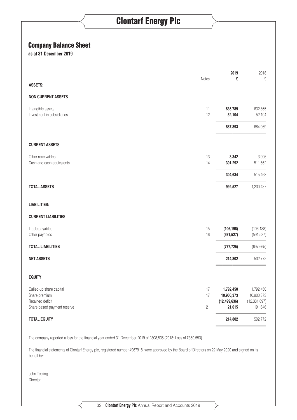## **Company Balance Sheet**

**as at 31 December 2019**

| £<br>£<br>Notes<br><b>ASSETS:</b><br>11<br>632,865<br>635,789<br>Investment in subsidiaries<br>12<br>52,104<br>52,104<br>687,893<br>684,969<br>13<br>3,906<br>Other receivables<br>3,342<br>14<br>301,292<br>511,562<br>304,634<br>515,468<br>992,527<br>1,200,437<br>15<br>(106, 198)<br>(106, 138)<br>16<br>(671, 527)<br>(591, 527)<br>(777, 725)<br>(697, 665)<br>502,772<br>214,802<br>17<br>1,792,450<br>1,792,450<br>17<br>10,900,373<br>10,900,373<br>Retained deficit<br>(12, 499, 636)<br>(12, 381, 697)<br>21<br>21,615<br>191,646<br>502,772<br>214,802 |                             | 2019 | 2018 |
|---------------------------------------------------------------------------------------------------------------------------------------------------------------------------------------------------------------------------------------------------------------------------------------------------------------------------------------------------------------------------------------------------------------------------------------------------------------------------------------------------------------------------------------------------------------------|-----------------------------|------|------|
|                                                                                                                                                                                                                                                                                                                                                                                                                                                                                                                                                                     |                             |      |      |
|                                                                                                                                                                                                                                                                                                                                                                                                                                                                                                                                                                     | <b>NON CURRENT ASSETS</b>   |      |      |
|                                                                                                                                                                                                                                                                                                                                                                                                                                                                                                                                                                     | Intangible assets           |      |      |
|                                                                                                                                                                                                                                                                                                                                                                                                                                                                                                                                                                     |                             |      |      |
|                                                                                                                                                                                                                                                                                                                                                                                                                                                                                                                                                                     |                             |      |      |
|                                                                                                                                                                                                                                                                                                                                                                                                                                                                                                                                                                     | <b>CURRENT ASSETS</b>       |      |      |
|                                                                                                                                                                                                                                                                                                                                                                                                                                                                                                                                                                     |                             |      |      |
|                                                                                                                                                                                                                                                                                                                                                                                                                                                                                                                                                                     | Cash and cash equivalents   |      |      |
|                                                                                                                                                                                                                                                                                                                                                                                                                                                                                                                                                                     |                             |      |      |
|                                                                                                                                                                                                                                                                                                                                                                                                                                                                                                                                                                     | <b>TOTAL ASSETS</b>         |      |      |
|                                                                                                                                                                                                                                                                                                                                                                                                                                                                                                                                                                     | <b>LIABILITIES:</b>         |      |      |
|                                                                                                                                                                                                                                                                                                                                                                                                                                                                                                                                                                     | <b>CURRENT LIABILITIES</b>  |      |      |
|                                                                                                                                                                                                                                                                                                                                                                                                                                                                                                                                                                     | Trade payables              |      |      |
|                                                                                                                                                                                                                                                                                                                                                                                                                                                                                                                                                                     | Other payables              |      |      |
|                                                                                                                                                                                                                                                                                                                                                                                                                                                                                                                                                                     | <b>TOTAL LIABILITIES</b>    |      |      |
|                                                                                                                                                                                                                                                                                                                                                                                                                                                                                                                                                                     | <b>NET ASSETS</b>           |      |      |
|                                                                                                                                                                                                                                                                                                                                                                                                                                                                                                                                                                     | <b>EQUITY</b>               |      |      |
|                                                                                                                                                                                                                                                                                                                                                                                                                                                                                                                                                                     | Called-up share capital     |      |      |
|                                                                                                                                                                                                                                                                                                                                                                                                                                                                                                                                                                     | Share premium               |      |      |
|                                                                                                                                                                                                                                                                                                                                                                                                                                                                                                                                                                     | Share based payment reserve |      |      |
|                                                                                                                                                                                                                                                                                                                                                                                                                                                                                                                                                                     | <b>TOTAL EQUITY</b>         |      |      |

The company reported a loss for the financial year ended 31 December 2019 of £308,535 (2018: Loss of £350,553).

The financial statements of Clontarf Energy plc, registered number 4967918, were approved by the Board of Directors on 22 May 2020 and signed on its behalf by:

John Teeling Director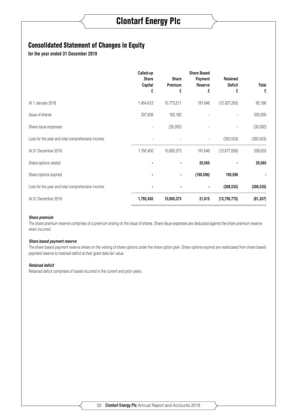## **Consolidated Statement of Changes in Equity**

**for the year ended 31 December 2019**

|                                                  | Called-up<br><b>Share</b><br>Capital<br>£ | <b>Share</b><br>Premium<br>£ | <b>Share Based</b><br>Payment<br>Reserve<br>£ | <b>Retained</b><br><b>Deficit</b><br>£ | <b>Total</b><br>£ |
|--------------------------------------------------|-------------------------------------------|------------------------------|-----------------------------------------------|----------------------------------------|-------------------|
| At 1 January 2018                                | 1,454,612                                 | 10,773,211                   | 191,646                                       | (12, 327, 283)                         | 92,186            |
| Issue of shares                                  | 337,838                                   | 162,162                      |                                               |                                        | 500,000           |
| Share issue expenses                             |                                           | (35,000)                     |                                               |                                        | (35,000)          |
| Loss for the year and total comprehensive income |                                           |                              |                                               | (350, 553)                             | (350, 553)        |
| At 31 December 2018                              | 1,792,450                                 | 10,900,373                   | 191,646                                       | (12, 677, 836)                         | 206,633           |
| Share options vested                             |                                           |                              | 20,565                                        |                                        | 20,565            |
| Share options expired                            |                                           | ٠                            | (190, 596)                                    | 190,596                                |                   |
| Loss for the year and total comprehensive income |                                           |                              |                                               | (308, 535)                             | (308, 535)        |
| At 31 December 2019                              | 1,792,450                                 | 10,900,373                   | 21,615                                        | (12,795,775)                           | (81, 337)         |

#### **Share premium**

The share premium reserve comprises of a premium arising on the issue of shares. Share issue expenses are deducted against the share premium reserve when incurred.

#### **Share based payment reserve**

The share based payment reserve arises on the vesting of share options under the share option plan. Share options expired are reallocated from share based payment reserve to retained deficit at their grant date fair value.

#### **Retained deficit**

Retained deficit comprises of losses incurred in the current and prior years.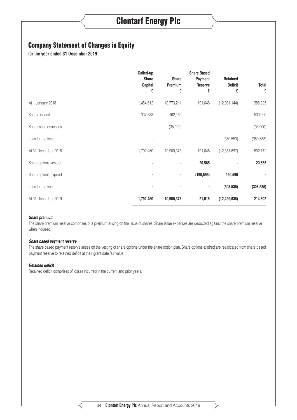## **Company Statement of Changes in Equity**

**for the year ended 31 December 2019**

|                       | Called-up<br><b>Share</b><br>Capital<br>£ | Share<br>Premium<br>£ | <b>Share Based</b><br>Payment<br>Reserve<br>£ | <b>Retained</b><br><b>Deficit</b><br>£ | Total<br>£ |
|-----------------------|-------------------------------------------|-----------------------|-----------------------------------------------|----------------------------------------|------------|
| At 1 January 2018     | 1,454,612                                 | 10,773,211            | 191,646                                       | (12,031,144)                           | 388,325    |
| Shares issued         | 337,838                                   | 162,162               |                                               |                                        | 500,000    |
| Share issue expenses  |                                           | (35,000)              |                                               |                                        | (35,000)   |
| Loss for the year     |                                           |                       |                                               | (350, 553)                             | (350, 553) |
| At 31 December 2018   | 1,792,450                                 | 10,900,373            | 191,646                                       | (12, 381, 697)                         | 502,772    |
| Share options vested  |                                           |                       | 20,565                                        |                                        | 20,565     |
| Share options expired |                                           | ٠                     | (190, 596)                                    | 190,596                                |            |
| Loss for the year     |                                           |                       | $\blacksquare$                                | (308, 535)                             | (308, 535) |
| At 31 December 2019   | 1,792,450                                 | 10,900,373            | 21,615                                        | (12, 499, 636)                         | 214,802    |

#### **Share premium**

The share premium reserve comprises of a premium arising on the issue of shares. Share issue expenses are deducted against the share premium reserve when incurred.

#### **Share based payment reserve**

The share based payment reserve arises on the vesting of share options under the share option plan. Share options expired are reallocated from share based payment reserve to retained deficit at their grant date fair value.

#### **Retained deficit**

Retained deficit comprises of losses incurred in the current and prior years.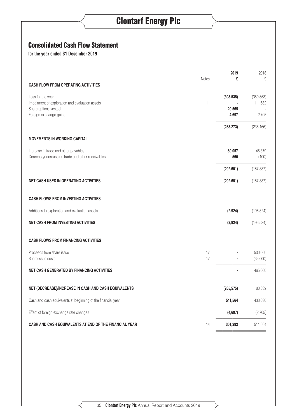## **Consolidated Cash Flow Statement**

### **for the year ended 31 December 2019**

|                                                                         |       | 2019       | 2018       |
|-------------------------------------------------------------------------|-------|------------|------------|
| <b>CASH FLOW FROM OPERATING ACTIVITIES</b>                              | Notes | £          | £          |
| Loss for the year                                                       |       | (308, 535) | (350, 553) |
| Impairment of exploration and evaluation assets<br>Share options vested | 11    | 20,565     | 111,682    |
| Foreign exchange gains                                                  |       | 4,697      | 2,705      |
|                                                                         |       | (283, 273) | (236, 166) |
| <b>MOVEMENTS IN WORKING CAPITAL</b>                                     |       |            |            |
| Increase in trade and other payables                                    |       | 80,057     | 48,379     |
| Decrease/(Increase) in trade and other receivables                      |       | 565        | (100)      |
|                                                                         |       | (202, 651) | (187, 887) |
| <b>NET CASH USED IN OPERATING ACTIVITIES</b>                            |       | (202, 651) | (187, 887) |
| <b>CASH FLOWS FROM INVESTING ACTIVITIES</b>                             |       |            |            |
| Additions to exploration and evaluation assets                          |       | (2,924)    | (196, 524) |
| <b>NET CASH FROM INVESTING ACTIVITIES</b>                               |       | (2,924)    | (196, 524) |
| <b>CASH FLOWS FROM FINANCING ACTIVITIES</b>                             |       |            |            |
| Proceeds from share issue                                               | 17    |            | 500,000    |
| Share issue costs                                                       | 17    |            | (35,000)   |
| <b>NET CASH GENERATED BY FINANCING ACTIVITIES</b>                       |       |            | 465,000    |
| NET (DECREASE)/INCREASE IN CASH AND CASH EQUIVALENTS                    |       | (205, 575) | 80,589     |
| Cash and cash equivalents at beginning of the financial year            |       | 511,564    | 433,680    |
| Effect of foreign exchange rate changes                                 |       | (4,697)    | (2,705)    |
| CASH AND CASH EQUIVALENTS AT END OF THE FINANCIAL YEAR                  | 14    | 301,292    | 511,564    |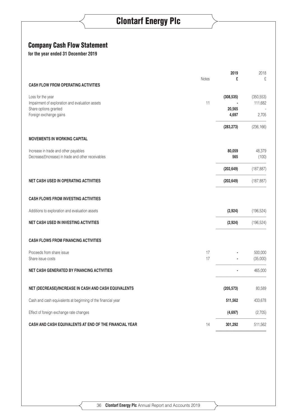## **Company Cash Flow Statement**

### **for the year ended 31 December 2019**

|                                                                                                                         |          | 2019                          | 2018                           |
|-------------------------------------------------------------------------------------------------------------------------|----------|-------------------------------|--------------------------------|
| <b>CASH FLOW FROM OPERATING ACTIVITIES</b>                                                                              | Notes    | £                             | £                              |
| Loss for the year<br>Impairment of exploration and evaluation assets<br>Share options granted<br>Foreign exchange gains | 11       | (308, 535)<br>20,565<br>4,697 | (350, 553)<br>111,682<br>2,705 |
|                                                                                                                         |          |                               |                                |
| <b>MOVEMENTS IN WORKING CAPITAL</b>                                                                                     |          | (283, 273)                    | (236, 166)                     |
| Increase in trade and other payables<br>Decrease/(Increase) in trade and other receivables                              |          | 80,059<br>565                 | 48,379<br>(100)                |
|                                                                                                                         |          | (202, 649)                    | (187, 887)                     |
| <b>NET CASH USED IN OPERATING ACTIVITIES</b>                                                                            |          | (202, 649)                    | (187, 887)                     |
| <b>CASH FLOWS FROM INVESTING ACTIVITIES</b>                                                                             |          |                               |                                |
| Additions to exploration and evaluation assets                                                                          |          | (2,924)                       | (196, 524)                     |
| <b>NET CASH USED IN INVESTING ACTIVITIES</b>                                                                            |          | (2,924)                       | (196, 524)                     |
| <b>CASH FLOWS FROM FINANCING ACTIVITIES</b>                                                                             |          |                               |                                |
| Proceeds from share issue<br>Share issue costs                                                                          | 17<br>17 |                               | 500,000<br>(35,000)            |
| <b>NET CASH GENERATED BY FINANCING ACTIVITIES</b>                                                                       |          |                               | 465,000                        |
| NET (DECREASE)/INCREASE IN CASH AND CASH EQUIVALENTS                                                                    |          | (205, 573)                    | 80,589                         |
| Cash and cash equivalents at beginning of the financial year                                                            |          | 511,562                       | 433,678                        |
| Effect of foreign exchange rate changes                                                                                 |          | (4,697)                       | (2,705)                        |
| CASH AND CASH EQUIVALENTS AT END OF THE FINANCIAL YEAR                                                                  | 14       | 301,292                       | 511,562                        |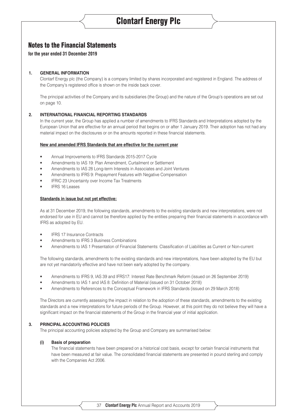### **Notes to the Financial Statements**

#### **for the year ended 31 December 2019**

#### **1. GENERAL INFORMATION**

Clontarf Energy plc (the Company) is a company limited by shares incorporated and registered in England. The address of the Company's registered office is shown on the inside back cover.

The principal activities of the Company and its subsidiaries (the Group) and the nature of the Group's operations are set out on page 10.

#### **2. INTERNATIONAL FINANCIAL REPORTING STANDARDS**

In the current year, the Group has applied a number of amendments to IFRS Standards and Interpretations adopted by the European Union that are effective for an annual period that begins on or after 1 January 2019. Their adoption has not had any material impact on the disclosures or on the amounts reported in these financial statements.

#### **New and amended IFRS Standards that are effective for the current year**

- Annual Improvements to IFRS Standards 2015-2017 Cycle
- Amendments to IAS 19: Plan Amendment, Curtailment or Settlement
- Amendments to IAS 28 Long-term Interests in Associates and Joint Ventures
- Amendments to IFRS 9: Prepayment Features with Negative Compensation
- IFRIC 23 Uncertainty over Income Tax Treatments
- **IFRS 16 Leases**

#### **Standards in issue but not yet effective:**

As at 31 December 2019, the following standards, amendments to the existing standards and new interpretations, were not endorsed for use in EU and cannot be therefore applied by the entities preparing their financial statements in accordance with IFRS as adopted by EU.

- **IFRS 17 Insurance Contracts**
- Amendments to IFRS 3 Business Combinations
- Amendments to IAS 1 Presentation of Financial Statements: Classification of Liabilities as Current or Non-current

The following standards, amendments to the existing standards and new interpretations, have been adopted by the EU but are not yet mandatorily effective and have not been early adopted by the company.

- Amendments to IFRS 9, IAS 39 and IFRS17: Interest Rate Benchmark Reform (issued on 26 September 2019)
- Amendments to IAS 1 and IAS 8: Definition of Material (issued on 31 October 2018)
- Amendments to References to the Conceptual Framework in IFRS Standards (issued on 29 March 2018)

The Directors are currently assessing the impact in relation to the adoption of these standards, amendments to the existing standards and a new interpretations for future periods of the Group. However, at this point they do not believe they will have a significant impact on the financial statements of the Group in the financial year of initial application.

#### **3. PRINCIPAL ACCOUNTING POLICIES**

The principal accounting policies adopted by the Group and Company are summarised below:

#### **(i) Basis of preparation**

The financial statements have been prepared on a historical cost basis, except for certain financial instruments that have been measured at fair value. The consolidated financial statements are presented in pound sterling and comply with the Companies Act 2006.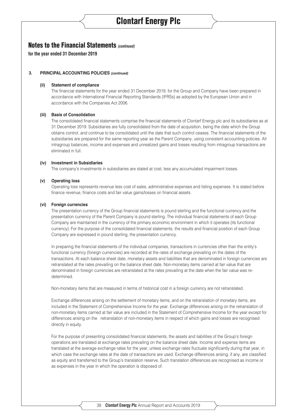### **Notes to the Financial Statements** *(continued)*

#### **for the year ended 31 December 2019**

#### **3. PRINCIPAL ACCOUNTING POLICIES (continued)**

#### **(ii) Statement of compliance**

The financial statements for the year ended 31 December 2019, for the Group and Company have been prepared in accordance with International Financial Reporting Standards (IFRSs) as adopted by the European Union and in accordance with the Companies Act 2006.

#### **(iii) Basis of Consolidation**

The consolidated financial statements comprise the financial statements of Clontarf Energy plc and its subsidiaries as at 31 December 2019. Subsidiaries are fully consolidated from the date of acquisition, being the date which the Group obtains control, and continue to be consolidated until the date that such control ceases. The financial statements of the subsidiaries are prepared for the same reporting year as the Parent Company, using consistent accounting policies. All intragroup balances, income and expenses and unrealized gains and losses resulting from intragroup transactions are eliminated in full.

#### **(iv) Investment in Subsidiaries**

The company's investments in subsidiaries are stated at cost, less any accumulated impairment losses.

#### **(v) Operating loss**

Operating loss represents revenue less cost of sales, administrative expenses and listing expenses. It is stated before finance revenue, finance costs and fair value gains/losses on financial assets.

#### **(vi) Foreign currencies**

The presentation currency of the Group financial statements is pound sterling and the functional currency and the presentation currency of the Parent Company is pound sterling. The individual financial statements of each Group Company are maintained in the currency of the primary economic environment in which it operates (its functional currency). For the purpose of the consolidated financial statements, the results and financial position of each Group Company are expressed in pound sterling, the presentation currency.

In preparing the financial statements of the individual companies, transactions in currencies other than the entity's functional currency (foreign currencies) are recorded at the rates of exchange prevailing on the dates of the transactions. At each balance sheet date, monetary assets and liabilities that are denominated in foreign currencies are retranslated at the rates prevailing on the balance sheet date. Non-monetary items carried at fair value that are denominated in foreign currencies are retranslated at the rates prevailing at the date when the fair value was redetermined.

Non-monetary items that are measured in terms of historical cost in a foreign currency are not retranslated.

Exchange differences arising on the settlement of monetary items, and on the retranslation of monetary items, are included in the Statement of Comprehensive Income for the year. Exchange differences arising on the retranslation of non-monetary items carried at fair value are included in the Statement of Comprehensive Income for the year except for differences arising on the retranslation of non-monetary items in respect of which gains and losses are recognised directly in equity.

For the purpose of presenting consolidated financial statements, the assets and liabilities of the Group's foreign operations are translated at exchange rates prevailing on the balance sheet date. Income and expense items are translated at the average exchange rates for the year, unless exchange rates fluctuate significantly during that year, in which case the exchange rates at the date of transactions are used. Exchange differences arising, if any, are classified as equity and transferred to the Group's translation reserve. Such translation differences are recognised as income or as expenses in the year in which the operation is disposed of.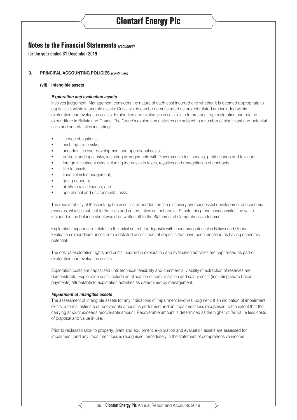### **Notes to the Financial Statements** *(continued)*

**for the year ended 31 December 2019**

#### **3. PRINCIPAL ACCOUNTING POLICIES (continued)**

#### **(vii) Intangible assets**

#### **Exploration and evaluation assets**

involves judgement. Management considers the nature of each cost incurred and whether it is deemed appropriate to capitalise it within intangible assets. Costs which can be demonstrated as project related are included within exploration and evaluation assets. Exploration and evaluation assets relate to prospecting, exploration and related expenditure in Bolivia and Ghana. The Group's exploration activities are subject to a number of significant and potential risks and uncertainties including:

- licence obligations;
- exchange rate risks;
- uncertainties over development and operational costs;
- political and legal risks, including arrangements with Governments for licences, profit sharing and taxation;
- foreign investment risks including increases in taxes, royalties and renegotiation of contracts;
- title to assets:
- financial risk management:
- going concern;
- ability to raise finance; and
- operational and environmental risks.

The recoverability of these intangible assets is dependent on the discovery and successful development of economic reserves, which is subject to the risks and uncertainties set out above. Should this prove unsuccessful, the value included in the balance sheet would be written off to the Statement of Comprehensive Income.

Exploration expenditure relates to the initial search for deposits with economic potential in Bolivia and Ghana. Evaluation expenditure arises from a detailed assessment of deposits that have been identified as having economic potential.

The cost of exploration rights and costs incurred in exploration and evaluation activities are capitalised as part of exploration and evaluation assets.

Exploration costs are capitalised until technical feasibility and commercial viability of extraction of reserves are demonstrable. Exploration costs include an allocation of administration and salary costs (including share based payments) attributable to exploration activities as determined by management.

#### **Impairment of intangible assets**

The assessment of intangible assets for any indications of impairment involves judgment. If an indication of impairment exists, a formal estimate of recoverable amount is performed and an impairment loss recognised to the extent that the carrying amount exceeds recoverable amount. Recoverable amount is determined as the higher of fair value less costs of disposal and value in use.

Prior to reclassification to property, plant and equipment, exploration and evaluation assets are assessed for impairment, and any impairment loss is recognised immediately in the statement of comprehensive income.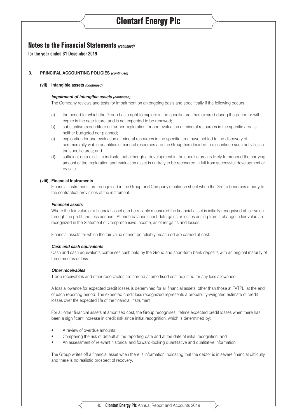### **Notes to the Financial Statements** *(continued)*

#### **for the year ended 31 December 2019**

#### **3. PRINCIPAL ACCOUNTING POLICIES (continued)**

#### **(vii) Intangible assets (continued)**

#### **Impairment of intangible assets (continued)**

The Company reviews and tests for impairment on an ongoing basis and specifically if the following occurs:

- a) the period for which the Group has a right to explore in the specific area has expired during the period or will expire in the near future, and is not expected to be renewed;
- b) substantive expenditure on further exploration for and evaluation of mineral resources in the specific area is neither budgeted nor planned;
- c) exploration for and evaluation of mineral resources in the specific area have not led to the discovery of commercially viable quantities of mineral resources and the Group has decided to discontinue such activities in the specific area; and
- d) sufficient data exists to indicate that although a development in the specific area is likely to proceed the carrying amount of the exploration and evaluation asset is unlikely to be recovered in full from successful development or by sale.

#### **(viii) Financial Instruments**

Financial instruments are recognised in the Group and Company's balance sheet when the Group becomes a party to the contractual provisions of the instrument.

#### **Financial assets**

Where the fair value of a financial asset can be reliably measured the financial asset is initially recognised at fair value through the profit and loss account. At each balance sheet date gains or losses arising from a change in fair value are recognized in the Statement of Comprehensive Income, as other gains and losses.

Financial assets for which the fair value cannot be reliably measured are carried at cost.

#### **Cash and cash equivalents**

Cash and cash equivalents comprises cash held by the Group and short-term bank deposits with an original maturity of three months or less.

#### **Other receivables**

Trade receivables and other receivables are carried at amortised cost adjusted for any loss allowance.

A loss allowance for expected credit losses is determined for all financial assets, other than those at FVTPL, at the end of each reporting period. The expected credit loss recognized represents a probability-weighted estimate of credit losses over the expected life of the financial instrument.

For all other financial assets at amortised cost, the Group recognises lifetime expected credit losses when there has been a significant increase in credit risk since initial recognition, which is determined by:

- A review of overdue amounts,
- Comparing the risk of default at the reporting date and at the date of initial recognition, and
- An assessment of relevant historical and forward-looking quantitative and qualitative information.

The Group writes off a financial asset when there is information indicating that the debtor is in severe financial difficulty and there is no realistic prospect of recovery.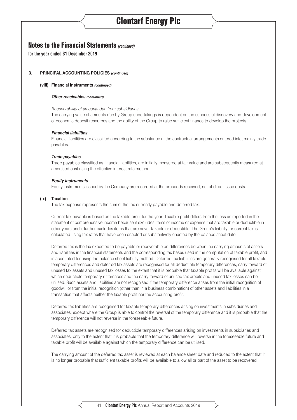### **Notes to the Financial Statements** *(continued)*

#### **for the year ended 31 December 2019**

#### **3. PRINCIPAL ACCOUNTING POLICIES (continued)**

#### **(viii) Financial Instruments (continued)**

#### **Other receivables (continued)**

Recoverability of amounts due from subsidiaries

The carrying value of amounts due by Group undertakings is dependent on the successful discovery and development of economic deposit resources and the ability of the Group to raise sufficient finance to develop the projects.

#### **Financial liabilities**

Financial liabilities are classified according to the substance of the contractual arrangements entered into, mainly trade payables.

#### **Trade payables**

Trade payables classified as financial liabilities, are initially measured at fair value and are subsequently measured at amortised cost using the effective interest rate method.

#### **Equity instruments**

Equity instruments issued by the Company are recorded at the proceeds received, net of direct issue costs.

#### **(ix) Taxation**

The tax expense represents the sum of the tax currently payable and deferred tax.

Current tax payable is based on the taxable profit for the year. Taxable profit differs from the loss as reported in the statement of comprehensive income because it excludes items of income or expense that are taxable or deductible in other years and it further excludes items that are never taxable or deductible. The Group's liability for current tax is calculated using tax rates that have been enacted or substantively enacted by the balance sheet date.

Deferred tax is the tax expected to be payable or recoverable on differences between the carrying amounts of assets and liabilities in the financial statements and the corresponding tax bases used in the computation of taxable profit, and is accounted for using the balance sheet liability method. Deferred tax liabilities are generally recognised for all taxable temporary differences and deferred tax assets are recognised for all deductible temporary differences, carry forward of unused tax assets and unused tax losses to the extent that it is probable that taxable profits will be available against which deductible temporary differences and the carry forward of unused tax credits and unused tax losses can be utilised. Such assets and liabilities are not recognised if the temporary difference arises from the initial recognition of goodwill or from the initial recognition (other than in a business combination) of other assets and liabilities in a transaction that affects neither the taxable profit nor the accounting profit.

Deferred tax liabilities are recognised for taxable temporary differences arising on investments in subsidiaries and associates, except where the Group is able to control the reversal of the temporary difference and it is probable that the temporary difference will not reverse in the foreseeable future.

Deferred tax assets are recognised for deductible temporary differences arising on investments in subsidiaries and associates, only to the extent that it is probable that the temporary difference will reverse in the foreseeable future and taxable profit will be available against which the temporary difference can be utilised.

The carrying amount of the deferred tax asset is reviewed at each balance sheet date and reduced to the extent that it is no longer probable that sufficient taxable profits will be available to allow all or part of the asset to be recovered.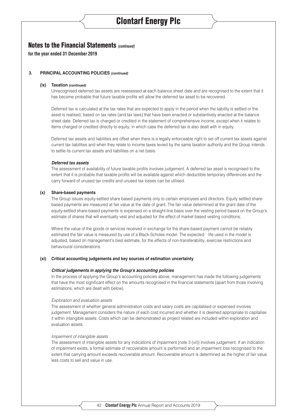### **Notes to the Financial Statements** *(continued)*

#### **for the year ended 31 December 2019**

#### **3. PRINCIPAL ACCOUNTING POLICIES (continued)**

#### **(ix) Taxation (continued)**

Unrecognised deferred tax assets are reassessed at each balance sheet date and are recognised to the extent that it has become probable that future taxable profits will allow the deferred tax asset to be recovered.

Deferred tax is calculated at the tax rates that are expected to apply in the period when the liability is settled or the asset is realised, based on tax rates (and tax laws) that have been enacted or substantively enacted at the balance sheet date. Deferred tax is charged or credited in the statement of comprehensive income, except when it relates to items charged or credited directly to equity, in which case the deferred tax is also dealt with in equity.

Deferred tax assets and liabilities are offset when there is a legally enforceable right to set off current tax assets against current tax liabilities and when they relate to income taxes levied by the same taxation authority and the Group intends to settle its current tax assets and liabilities on a net basis.

#### **Deferred tax assets**

The assessment of availability of future taxable profits involves judgement. A deferred tax asset is recognised to the extent that it is probable that taxable profits will be available against which deductible temporary differences and the carry forward of unused tax credits and unused tax losses can be utilised.

#### **(x) Share-based payments**

The Group issues equity-settled share based payments only to certain employees and directors. Equity settled sharebased payments are measured at fair value at the date of grant. The fair value determined at the grant date of the equity-settled share-based payments is expensed on a straight-line basis over the vesting period based on the Group's estimate of shares that will eventually vest and adjusted for the effect of market based vesting conditions.

Where the value of the goods or services received in exchange for the share-based payment cannot be reliably estimated the fair value is measured by use of a Black-Scholes model. The expected life used in the model is adjusted, based on management's best estimate, for the effects of non-transferability, exercise restrictions and behavioural considerations.

#### **(xi) Critical accounting judgements and key sources of estimation uncertainty**

#### **Critical judgements in applying the Group's accounting policies**

In the process of applying the Group's accounting policies above, management has made the following judgements that have the most significant effect on the amounts recognised in the financial statements (apart from those involving estimations, which are dealt with below).

#### Exploration and evaluation assets

The assessment of whether general administration costs and salary costs are capitalised or expensed involves judgement. Management considers the nature of each cost incurred and whether it is deemed appropriate to capitalise it within intangible assets. Costs which can be demonstrated as project related are included within exploration and evaluation assets.

#### Impairment of intangible assets

The assessment of intangible assets for any indications of impairment (note 3 (vii)) involves judgement. If an indication of impairment exists, a formal estimate of recoverable amount is performed and an impairment loss recognised to the extent that carrying amount exceeds recoverable amount. Recoverable amount is determined as the higher of fair value less costs to sell and value in use.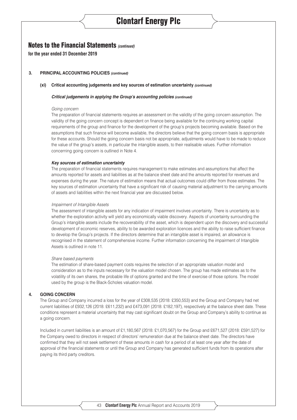### **Notes to the Financial Statements** *(continued)*

#### **for the year ended 31 December 2019**

#### **3. PRINCIPAL ACCOUNTING POLICIES (continued)**

#### **(xi) Critical accounting judgements and key sources of estimation uncertainty (continued)**

#### **Critical judgements in applying the Group's accounting policies (continued)**

#### Going concern

The preparation of financial statements requires an assessment on the validity of the going concern assumption. The validity of the going concern concept is dependent on finance being available for the continuing working capital requirements of the group and finance for the development of the group's projects becoming available. Based on the assumptions that such finance will become available, the directors believe that the going concern basis is appropriate for these accounts. Should the going concern basis not be appropriate, adjustments would have to be made to reduce the value of the group's assets, in particular the intangible assets, to their realisable values. Further information concerning going concern is outlined in Note 4.

#### **Key sources of estimation uncertainty**

The preparation of financial statements requires management to make estimates and assumptions that affect the amounts reported for assets and liabilities as at the balance sheet date and the amounts reported for revenues and expenses during the year. The nature of estimation means that actual outcomes could differ from those estimates. The key sources of estimation uncertainty that have a significant risk of causing material adjustment to the carrying amounts of assets and liabilities within the next financial year are discussed below.

#### Impairment of Intangible Assets

The assessment of intangible assets for any indication of impairment involves uncertainty. There is uncertainty as to whether the exploration activity will yield any economically viable discovery. Aspects of uncertainty surrounding the Group's intangible assets include the recoverability of the asset, which is dependent upon the discovery and successful development of economic reserves, ability to be awarded exploration licences and the ability to raise sufficient finance to develop the Group's projects. If the directors determine that an intangible asset is impaired, an allowance is recognised in the statement of comprehensive income. Further information concerning the impairment of Intangible Assets is outlined in note 11.

#### Share based payments

The estimation of share-based payment costs requires the selection of an appropriate valuation model and consideration as to the inputs necessary for the valuation model chosen. The group has made estimates as to the volatility of its own shares, the probable life of options granted and the time of exercise of those options. The model used by the group is the Black-Scholes valuation model.

#### **4. GOING CONCERN**

The Group and Company incurred a loss for the year of £308,535 (2018: £350,553) and the Group and Company had net current liabilities of £932,126 (2018: £611,232) and £473,091 (2018: £182,197), respectively at the balance sheet date. These conditions represent a material uncertainty that may cast significant doubt on the Group and Company's ability to continue as a going concern.

Included in current liabilities is an amount of £1,180,567 (2018: £1,070,567) for the Group and £671,527 (2018: £591,527) for the Company owed to directors in respect of directors' remuneration due at the balance sheet date. The directors have confirmed that they will not seek settlement of these amounts in cash for a period of at least one year after the date of approval of the financial statements or until the Group and Company has generated sufficient funds from its operations after paying its third party creditors.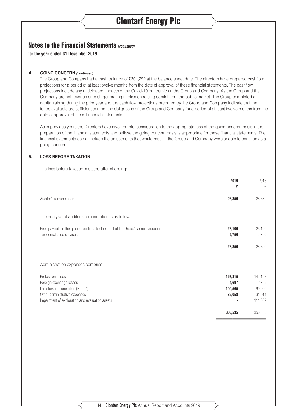### **Notes to the Financial Statements** *(continued)*

**for the year ended 31 December 2019**

#### **4. GOING CONCERN (continued)**

The Group and Company had a cash balance of £301,292 at the balance sheet date. The directors have prepared cashflow projections for a period of at least twelve months from the date of approval of these financial statements. The cashflow projections include any anticipated impacts of the Covid-19 pandemic on the Group and Company. As the Group and the Company are not revenue or cash generating it relies on raising capital from the public market. The Group completed a capital raising during the prior year and the cash flow projections prepared by the Group and Company indicate that the funds available are sufficient to meet the obligations of the Group and Company for a period of at least twelve months from the date of approval of these financial statements.

As in previous years the Directors have given careful consideration to the appropriateness of the going concern basis in the preparation of the financial statements and believe the going concern basis is appropriate for these financial statements. The financial statements do not include the adjustments that would result if the Group and Company were unable to continue as a going concern.

#### **5. LOSS BEFORE TAXATION**

The loss before taxation is stated after charging:

|                                                                                   | 2019    | 2018    |
|-----------------------------------------------------------------------------------|---------|---------|
|                                                                                   | £       | £.      |
| Auditor's remuneration                                                            | 28,850  | 28,850  |
| The analysis of auditor's remuneration is as follows:                             |         |         |
| Fees payable to the group's auditors for the audit of the Group's annual accounts | 23,100  | 23,100  |
| Tax compliance services                                                           | 5,750   | 5,750   |
|                                                                                   | 28,850  | 28,850  |
| Administration expenses comprise:                                                 |         |         |
| Professional fees                                                                 | 167,215 | 145,152 |
| Foreign exchange losses                                                           | 4,697   | 2,705   |
| Directors' remuneration (Note 7)                                                  | 100,565 | 60,000  |
| Other administrative expenses                                                     | 36,058  | 31,014  |
| Impairment of exploration and evaluation assets                                   |         | 111,682 |
|                                                                                   | 308,535 | 350,553 |

———————————————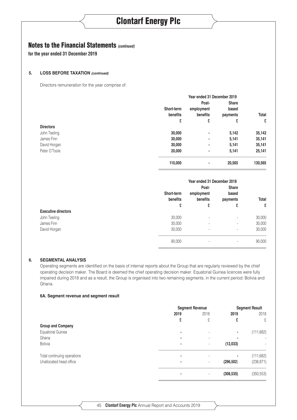### **Notes to the Financial Statements** *(continued)*

#### **for the year ended 31 December 2019**

#### **5. LOSS BEFORE TAXATION (continued)**

Directors remuneration for the year comprise of:

|                  | Year ended 31 December 2019 |            |              |         |
|------------------|-----------------------------|------------|--------------|---------|
|                  |                             | Post-      | <b>Share</b> |         |
|                  | Short-term                  | employment | based        |         |
|                  | benefits                    | benefits   | payments     | Total   |
|                  | £                           | £          | £            | £       |
| <b>Directors</b> |                             |            |              |         |
| John Teeling     | 30,000                      | ٠          | 5,142        | 35,142  |
| James Finn       | 30,000                      | ٠          | 5,141        | 35,141  |
| David Horgan     | 30,000                      | ٠          | 5,141        | 35,141  |
| Peter O'Toole    | 20,000                      | ٠          | 5,141        | 25,141  |
|                  | 110,000                     | ٠          | 20,565       | 130,565 |
|                  |                             |            |              |         |

|                            | Year ended 31 December 2018 |                          |                          |              |  |
|----------------------------|-----------------------------|--------------------------|--------------------------|--------------|--|
|                            |                             |                          | Post-                    | <b>Share</b> |  |
|                            | Short-term                  | employment               | based                    |              |  |
|                            | benefits                    | benefits                 | payments                 | <b>Total</b> |  |
|                            | £                           | £                        | £                        | £            |  |
| <b>Executive directors</b> |                             |                          |                          |              |  |
| John Teeling               | 30,000                      | $\overline{\phantom{a}}$ | $\overline{\phantom{a}}$ | 30,000       |  |
| James Finn                 | 30,000                      | $\overline{\phantom{a}}$ | $\overline{\phantom{a}}$ | 30,000       |  |
| David Horgan               | 30,000                      | $\overline{\phantom{a}}$ | ۰                        | 30,000       |  |
|                            | 90,000                      | $\overline{\phantom{a}}$ | $\overline{\phantom{a}}$ | 90,000       |  |

#### **6. SEGMENTAL ANALYSIS**

Operating segments are identified on the basis of internal reports about the Group that are regularly reviewed by the chief operating decision maker. The Board is deemed the chief operating decision maker. Equatorial Guinea licences were fully impaired during 2018 and as a result, the Group is organised into two remaining segments, in the current period: Bolivia and Ghana.

————————————————————————————————

————————————————————————————————

#### **6A. Segment revenue and segment result**

|                             |                          | <b>Segment Revenue</b>   |            | <b>Segment Result</b> |
|-----------------------------|--------------------------|--------------------------|------------|-----------------------|
|                             | 2019                     | 2018                     | 2019       | 2018                  |
|                             | £                        | £                        | £          | £                     |
| <b>Group and Company</b>    |                          |                          |            |                       |
| Equatorial Guinea           | $\overline{\phantom{a}}$ | $\overline{\phantom{a}}$ |            | (111, 682)            |
| Ghana                       | $\overline{\phantom{a}}$ | $\overline{\phantom{a}}$ |            |                       |
| <b>Bolivia</b>              | $\blacksquare$           | ٠                        | (12,033)   |                       |
| Total continuing operations | ۰                        | $\overline{\phantom{a}}$ |            | (111, 682)            |
| Unallocated head office     | $\blacksquare$           | ٠                        | (296, 502) | (238, 871)            |
|                             | ٠                        |                          | (308, 535) | (350, 553)            |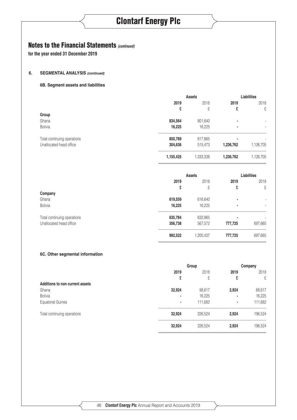## **Notes to the Financial Statements** *(continued)*

**for the year ended 31 December 2019**

#### **6. SEGMENTAL ANALYSIS (continued)**

#### **6B. Segment assets and liabilities**

|                             | <b>Assets</b> |           | Liabilities |           |
|-----------------------------|---------------|-----------|-------------|-----------|
|                             | 2019          | 2018      | 2019        | 2018      |
|                             | £             | £         | £           | £         |
| Group                       |               |           |             |           |
| Ghana                       | 834,564       | 801,640   | ٠           | ٠         |
| <b>Bolivia</b>              | 16,225        | 16,225    | ٠           | ۰         |
| Total continuing operations | 850,789       | 817,865   |             |           |
| Unallocated head office     | 304,636       | 515,473   | 1,236,762   | 1,126,705 |
|                             | 1,155,425     | 1,333,338 | 1,236,762   | 1,126,705 |

————————————————————————————————

————————————————————————————————

————————————————————————————————

|                             |         | <b>Assets</b> |         | Liabilities              |
|-----------------------------|---------|---------------|---------|--------------------------|
|                             | 2019    | 2018          | 2019    | 2018                     |
|                             | £       | £             | £       | £                        |
| Company                     |         |               |         |                          |
| Ghana                       | 619,559 | 616,640       |         | ٠                        |
| <b>Bolivia</b>              | 16,225  | 16,225        | ۰       | $\overline{\phantom{a}}$ |
| Total continuing operations | 635,784 | 632,865       |         |                          |
| Unallocated head office     | 356,738 | 567,572       | 777,725 | 697,665                  |
|                             | 992,522 | 1,200,437     | 777,725 | 697,665                  |

#### **6C. Other segmental information**

|                                 |        | Group   | Company |         |
|---------------------------------|--------|---------|---------|---------|
|                                 | 2019   | 2018    | 2019    | 2018    |
|                                 | £      | £       | £       | £       |
| Additions to non current assets |        |         |         |         |
| Ghana                           | 32,924 | 98,617  | 2,924   | 68,617  |
| <b>Bolivia</b>                  | ٠      | 16,225  |         | 16,225  |
| Equatorial Guinea               | ٠      | 111,682 | ٠       | 111,682 |
| Total continuing operations     | 32,924 | 226,524 | 2,924   | 196,524 |
|                                 | 32,924 | 226,524 | 2.924   | 196,524 |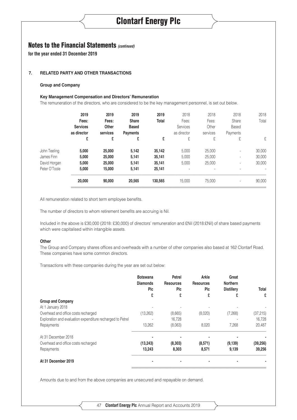### **Notes to the Financial Statements** *(continued)*

**for the year ended 31 December 2019**

#### **7. RELATED PARTY AND OTHER TRANSACTIONS**

#### **Group and Company**

#### **Key Management Compensation and Directors' Remuneration**

The remuneration of the directors, who are considered to be the key management personnel, is set out below.

|               | 2019<br>Fees:<br><b>Services</b><br>as director | 2019<br>Fees:<br>Other<br>services | 2019<br><b>Share</b><br><b>Based</b><br><b>Payments</b> | 2019<br><b>Total</b> | 2018<br>Fees:<br><b>Services</b><br>as director | 2018<br>Fees:<br>Other<br>services | 2018<br>Share<br>Based<br>Payments | 2018<br>Total |
|---------------|-------------------------------------------------|------------------------------------|---------------------------------------------------------|----------------------|-------------------------------------------------|------------------------------------|------------------------------------|---------------|
|               | £                                               | £                                  | £                                                       | £                    | £                                               | £                                  | £                                  | £             |
| John Teeling  | 5,000                                           | 25,000                             | 5,142                                                   | 35,142               | 5,000                                           | 25,000                             | ٠                                  | 30,000        |
| James Finn    | 5,000                                           | 25,000                             | 5,141                                                   | 35,141               | 5,000                                           | 25.000                             | $\overline{\phantom{a}}$           | 30.000        |
| David Horgan  | 5,000                                           | 25,000                             | 5,141                                                   | 35.141               | 5,000                                           | 25,000                             |                                    | 30,000        |
| Peter O'Toole | 5,000                                           | 15,000                             | 5,141                                                   | 25,141               |                                                 | ۰                                  |                                    |               |
|               | 20,000                                          | 90,000                             | 20,565                                                  | 130,565              | 15,000                                          | 75,000                             |                                    | 90,000        |

All remuneration related to short term employee benefits.

The number of directors to whom retirement benefits are accruing is Nil.

Included in the above is £30,000 (2018: £30,000) of directors' remuneration and £Nil (2018:£Nil) of share based payments which were capitalised within intangible assets.

#### **Other**

The Group and Company shares offices and overheads with a number of other companies also based at 162 Clontarf Road. These companies have some common directors.

Transactions with these companies during the year are set out below:

|                                                            | <b>Botswana</b><br><b>Diamonds</b><br>PIc<br>£ | Petrel<br><b>Resources</b><br>PIc<br>£ | Arkle<br><b>Resources</b><br>Plc<br>£ | Great<br><b>Northern</b><br><b>Distillery</b><br>£ | <b>Total</b><br>£ |
|------------------------------------------------------------|------------------------------------------------|----------------------------------------|---------------------------------------|----------------------------------------------------|-------------------|
| <b>Group and Company</b>                                   |                                                |                                        |                                       |                                                    |                   |
| At 1 January 2018                                          |                                                |                                        |                                       |                                                    |                   |
| Overhead and office costs recharged                        | (13, 262)                                      | (8,665)                                | (8,020)                               | (7,268)                                            | (37, 215)         |
| Exploration and evaluation expenditure recharged to Petrel |                                                | 16,728                                 |                                       |                                                    | 16,728            |
| Repayments                                                 | 13,262                                         | (8,063)                                | 8,020                                 | 7,268                                              | 20,487            |
| At 31 December 2018                                        |                                                |                                        |                                       |                                                    |                   |
| Overhead and office costs recharged                        | (13, 243)                                      | (8, 303)                               | (8,571)                               | (9, 139)                                           | (39, 256)         |
| Repayments                                                 | 13,243                                         | 8,303                                  | 8,571                                 | 9,139                                              | 39,256            |
| At 31 December 2019                                        |                                                |                                        |                                       |                                                    |                   |

Amounts due to and from the above companies are unsecured and repayable on demand.

47 **Clontarf Energy Plc** Annual Report and Accounts 2019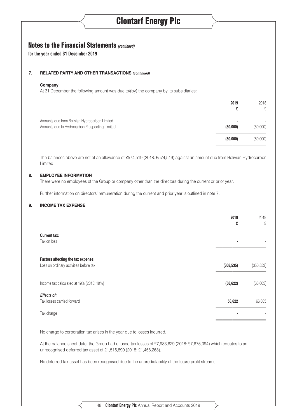### **Notes to the Financial Statements** *(continued)*

#### **for the year ended 31 December 2019**

#### **7. RELATED PARTY AND OTHER TRANSACTIONS (continued)**

#### **Company**

At 31 December the following amount was due to/(by) the company by its subsidiaries:

|                                                                                                 | 2019          | 2018<br>£ |
|-------------------------------------------------------------------------------------------------|---------------|-----------|
| Amounts due from Bolivian Hydrocarbon Limited<br>Amounts due to Hydrocarbon Prospecting Limited | -<br>(50,000) | (50,000)  |
|                                                                                                 | (50,000)      | (50,000)  |

The balances above are net of an allowance of £574,519 (2018: £574,519) against an amount due from Bolivian Hydrocarbon Limited.

#### **8. EMPLOYEE INFORMATION**

There were no employees of the Group or company other than the directors during the current or prior year.

Further information on directors' remuneration during the current and prior year is outlined in note 7.

#### **9. INCOME TAX EXPENSE**

|                                                                              | 2019<br>£  | 2019<br>£  |
|------------------------------------------------------------------------------|------------|------------|
| <b>Current tax:</b><br>Tax on loss                                           | ٠          |            |
| Factors affecting the tax expense:<br>Loss on ordinary activities before tax | (308, 535) | (350, 553) |
| Income tax calculated at 19% (2018: 19%)                                     | (58, 622)  | (66, 605)  |
| Effects of:<br>Tax losses carried forward                                    | 58,622     | 66,605     |
| Tax charge                                                                   |            |            |

No charge to corporation tax arises in the year due to losses incurred.

At the balance sheet date, the Group had unused tax losses of £7,983,629 (2018: £7,675,094) which equates to an unrecognised deferred tax asset of £1,516,890 (2018: £1,458,268).

No deferred tax asset has been recognised due to the unpredictability of the future profit streams.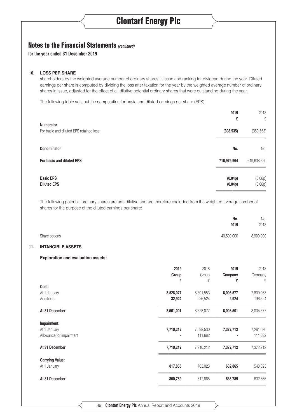### **Notes to the Financial Statements** *(continued)*

#### **for the year ended 31 December 2019**

#### **10. LOSS PER SHARE**

shareholders by the weighted average number of ordinary shares in issue and ranking for dividend during the year. Diluted earnings per share is computed by dividing the loss after taxation for the year by the weighted average number of ordinary shares in issue, adjusted for the effect of all dilutive potential ordinary shares that were outstanding during the year.

The following table sets out the computation for basic and diluted earnings per share (EPS):

|                                                             | 2019<br>£          | 2018<br>£          |
|-------------------------------------------------------------|--------------------|--------------------|
| <b>Numerator</b><br>For basic and diluted EPS retained loss | (308, 535)         | (350, 553)         |
| <b>Denominator</b>                                          | No.                | No.                |
| For basic and diluted EPS                                   | 716,979,964        | 619,608,620        |
| <b>Basic EPS</b><br><b>Diluted EPS</b>                      | (0.04p)<br>(0.04p) | (0.06p)<br>(0.06p) |

The following potential ordinary shares are anti-dilutive and are therefore excluded from the weighted average number of shares for the purpose of the diluted earnings per share:

|     |                                                         |                     |                      | No.<br>2019          | No.<br>2018          |
|-----|---------------------------------------------------------|---------------------|----------------------|----------------------|----------------------|
|     | Share options                                           |                     |                      | 40,500,000           | 8,900,000            |
| 11. | <b>INTANGIBLE ASSETS</b>                                |                     |                      |                      |                      |
|     | <b>Exploration and evaluation assets:</b>               |                     |                      |                      |                      |
|     |                                                         | 2019<br>Group<br>£  | 2018<br>Group<br>£   | 2019<br>Company<br>£ | 2018<br>Company<br>£ |
|     | Cost:<br>At 1 January<br>Additions                      | 8,528,077<br>32,924 | 8,301,553<br>226,524 | 8,005,577<br>2,924   | 7,809,053<br>196,524 |
|     | At 31 December                                          | 8,561,001           | 8,528,077            | 8,008,501            | 8,005,577            |
|     | Impairment:<br>At 1 January<br>Allowance for impairment | 7,710,212           | 7,598,530<br>111,682 | 7,372,712            | 7,261,030<br>111,682 |
|     | At 31 December                                          | 7,710,212           | 7,710,212            | 7,372,712            | 7,372,712            |
|     | <b>Carrying Value:</b><br>At 1 January                  | 817,865             | 703,023              | 632,865              | 548,023              |
|     | At 31 December                                          | 850,789             | 817,865              | 635,789              | 632,865              |
|     |                                                         |                     |                      |                      |                      |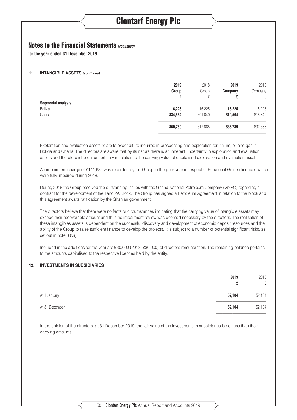### **Notes to the Financial Statements** *(continued)*

**for the year ended 31 December 2019**

#### **11. INTANGIBLE ASSETS (continued)**

|                     | 2019<br>Group<br>£ | 2018<br>Group<br>£ | 2019<br>Company<br>£ | 2018<br>Company<br>£ |
|---------------------|--------------------|--------------------|----------------------|----------------------|
| Segmental analysis: |                    |                    |                      |                      |
| <b>Bolivia</b>      | 16,225             | 16,225             | 16,225               | 16,225               |
| Ghana               | 834,564            | 801,640            | 619,564              | 616,640              |
|                     | 850,789            | 817,865            | 635,789              | 632,865              |

Exploration and evaluation assets relate to expenditure incurred in prospecting and exploration for lithium, oil and gas in Bolivia and Ghana. The directors are aware that by its nature there is an inherent uncertainty in exploration and evaluation assets and therefore inherent uncertainty in relation to the carrying value of capitalised exploration and evaluation assets.

An impairment charge of £111,682 was recorded by the Group in the prior year in respect of Equatorial Guinea licences which were fully impaired during 2018.

During 2018 the Group resolved the outstanding issues with the Ghana National Petroleum Company (GNPC) regarding a contract for the development of the Tano 2A Block. The Group has signed a Petroleum Agreement in relation to the block and this agreement awaits ratification by the Ghanian government.

The directors believe that there were no facts or circumstances indicating that the carrying value of intangible assets may exceed their recoverable amount and thus no impairment review was deemed necessary by the directors. The realisation of these intangibles assets is dependent on the successful discovery and development of economic deposit resources and the ability of the Group to raise sufficient finance to develop the projects. It is subject to a number of potential significant risks, as set out in note 3 (vii).

Included in the additions for the year are £30,000 (2018: £30,000) of directors remuneration. The remaining balance pertains to the amounts capitalised to the respective licences held by the entity.

#### **12. INVESTMENTS IN SUBSIDIARIES**

|                | 2019<br>£ | 2018<br>£ |
|----------------|-----------|-----------|
| At 1 January   | 52,104    | 52,104    |
| At 31 December | 52,104    | 52,104    |

In the opinion of the directors, at 31 December 2019, the fair value of the investments in subsidiaries is not less than their carrying amounts.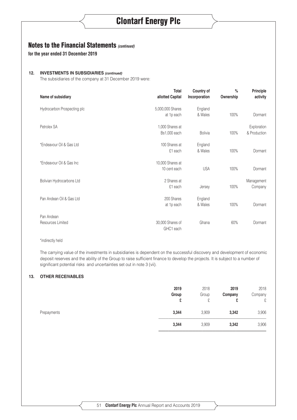## **Notes to the Financial Statements** *(continued)*

#### **for the year ended 31 December 2019**

#### **12. INVESTMENTS IN SUBSIDIARIES (continued)**

The subsidiaries of the company at 31 December 2019 were:

| Name of subsidiary              | <b>Total</b><br>allotted Capital | <b>Country of</b><br>Incorporation | %<br>Ownership | Principle<br>activity       |
|---------------------------------|----------------------------------|------------------------------------|----------------|-----------------------------|
| Hydrocarbon Prospecting plc     | 5,000,000 Shares<br>at 1p each   | England<br>& Wales                 | 100%           | Dormant                     |
| Petrolex SA                     | 1,000 Shares at<br>Bs1,000 each  | <b>Bolivia</b>                     | 100%           | Exploration<br>& Production |
| *Endeavour Oil & Gas Ltd        | 100 Shares at<br>£1 each         | England<br>& Wales                 | 100%           | Dormant                     |
| *Endeavour Oil & Gas Inc        | 10,000 Shares at<br>10 cent each | <b>USA</b>                         | 100%           | Dormant                     |
| Bolivian Hydrocarbons Ltd       | 2 Shares at<br>£1 each           | Jersey                             | 100%           | Management<br>Company       |
| Pan Andean Oil & Gas Ltd        | 200 Shares<br>at 1p each         | England<br>& Wales                 | 100%           | Dormant                     |
| Pan Andean<br>Resources Limited | 30,000 Shares of<br>GHC1 each    | Ghana                              | 60%            | Dormant                     |

#### \*indirectly held

The carrying value of the investments in subsidiaries is dependent on the successful discovery and development of economic deposit reserves and the ability of the Group to raise sufficient finance to develop the projects. It is subject to a number of significant potential risks and uncertainties set out in note 3 (vii).

#### **13. OTHER RECEIVABLES**

|             | 2019<br>Group<br>£ | 2018<br>Group<br>₽<br>∼ | 2019<br>Company<br>c | 2018<br>Company<br>£ |
|-------------|--------------------|-------------------------|----------------------|----------------------|
| Prepayments | 3,344              | 3,909                   | 3,342                | 3,906                |
|             | 3,344              | 3,909                   | 3,342                | 3,906                |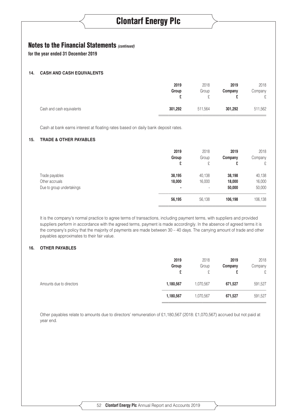### **Notes to the Financial Statements** *(continued)*

**for the year ended 31 December 2019**

#### **14. CASH AND CASH EQUIVALENTS**

|                           | 2019    | 2018    | 2019    | 2018    |
|---------------------------|---------|---------|---------|---------|
|                           | Group   | Group   | Company | Company |
| Cash and cash equivalents | 301,292 | 511,564 | 301,292 | 511,562 |

Cash at bank earns interest at floating rates based on daily bank deposit rates.

#### **15. TRADE & OTHER PAYABLES**

|                           | 2019   | 2018                     | 2019    | 2018    |
|---------------------------|--------|--------------------------|---------|---------|
|                           | Group  | Group                    | Company | Company |
|                           | £      | £                        | £       | £       |
| Trade payables            | 38,195 | 40,138                   | 38,198  | 40,138  |
| Other accruals            | 18,000 | 16,000                   | 18,000  | 16,000  |
| Due to group undertakings | ٠      | $\overline{\phantom{a}}$ | 50,000  | 50,000  |
|                           | 56,195 | 56,138                   | 106,198 | 106,138 |

It is the company's normal practice to agree terms of transactions, including payment terms, with suppliers and provided suppliers perform in accordance with the agreed terms, payment is made accordingly. In the absence of agreed terms it is the company's policy that the majority of payments are made between 30 – 40 days. The carrying amount of trade and other payables approximates to their fair value.

#### **16. OTHER PAYABLES**

|                          | 2019<br>Group<br>£ | 2018<br>Group | 2019<br>Company | 2018<br>Company<br>£ |
|--------------------------|--------------------|---------------|-----------------|----------------------|
| Amounts due to directors | 1,180,567          | 1,070,567     | 671,527         | 591,527              |
|                          | 1,180,567          | 1,070,567     | 671,527         | 591,527              |

Other payables relate to amounts due to directors' remuneration of £1,180,567 (2018: £1,070,567) accrued but not paid at year end.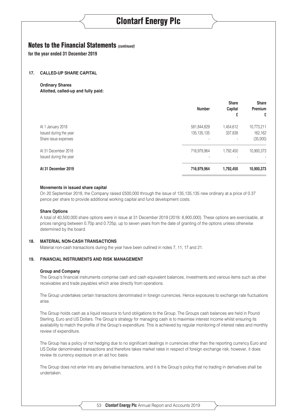### **Notes to the Financial Statements** *(continued)*

#### **for the year ended 31 December 2019**

#### **17. CALLED-UP SHARE CAPITAL**

**Ordinary Shares Allotted, called-up and fully paid:** 

|                                                                     | <b>Number</b>                | <b>Share</b><br>Capital<br>£ | <b>Share</b><br>Premium<br>£      |
|---------------------------------------------------------------------|------------------------------|------------------------------|-----------------------------------|
| At 1 January 2018<br>Issued during the year<br>Share issue expenses | 581,844,829<br>135, 135, 135 | 1,454,612<br>337,838         | 10,773,211<br>162,162<br>(35,000) |
| At 31 December 2018<br>Issued during the year                       | 716,979,964                  | 1,792,450                    | 10,900,373                        |
| At 31 December 2019                                                 | 716,979,964                  | 1,792,450                    | 10,900,373                        |

#### **Movements in issued share capital**

On 20 September 2018, the Company raised £500,000 through the issue of 135,135,135 new ordinary at a price of 0.37 pence per share to provide additional working capital and fund development costs.

#### **Share Options**

A total of 40,500,000 share options were in issue at 31 December 2019 (2018: 8,900,000). These options are exercisable, at prices ranging between 0.70p and 0.725p, up to seven years from the date of granting of the options unless otherwise determined by the board.

#### **18. MATERIAL NON-CASH TRANSACTIONS**

Material non-cash transactions during the year have been outlined in notes 7, 11, 17 and 21.

#### **19. FINANCIAL INSTRUMENTS AND RISK MANAGEMENT**

#### **Group and Company**

The Group's financial instruments comprise cash and cash equivalent balances, investments and various items such as other receivables and trade payables which arise directly from operations.

The Group undertakes certain transactions denominated in foreign currencies. Hence exposures to exchange rate fluctuations arise.

The Group holds cash as a liquid resource to fund obligations to the Group. The Groups cash balances are held in Pound Sterling, Euro and US Dollars. The Group's strategy for managing cash is to maximise interest income whilst ensuring its availability to match the profile of the Group's expenditure. This is achieved by regular monitoring of interest rates and monthly review of expenditure.

The Group has a policy of not hedging due to no significant dealings in currencies other than the reporting currency Euro and US Dollar denominated transactions and therefore takes market rates in respect of foreign exchange risk; however, it does review its currency exposure on an ad hoc basis.

The Group does not enter into any derivative transactions, and it is the Group's policy that no trading in derivatives shall be undertaken.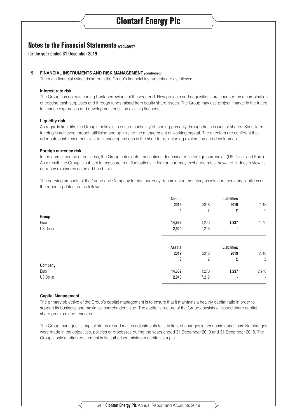### **Notes to the Financial Statements** *(continued)*

#### **for the year ended 31 December 2019**

#### **19. FINANCIAL INSTRUMENTS AND RISK MANAGEMENT (continued)**

The main financial risks arising from the Group's financial instruments are as follows:

#### **Interest rate risk**

The Group has no outstanding bank borrowings at the year end. New projects and acquisitions are financed by a combination of existing cash surpluses and through funds raised from equity share issues. The Group may use project finance in the future to finance exploration and development costs on existing licences.

#### **Liquidity risk**

As regards liquidity, the Group's policy is to ensure continuity of funding primarily through fresh issues of shares. Short-term funding is achieved through utilitising and optimising the management of working capital. The directors are confident that adequate cash resources exist to finance operations in the short term, including exploration and development.

#### **Foreign currency risk**

In the normal course of business, the Group enters into transactions denominated in foreign currencies (US Dollar and Euro). As a result, the Group is subject to exposure from fluctuations in foreign currency exchange rates; however, it does review its currency exposures on an ad hoc basis.

The carrying amounts of the Group and Company foreign currency denominated monetary assets and monetary liabilities at the reporting dates are as follows:

|                  | <b>Assets</b> |       | Liabilities |       |
|------------------|---------------|-------|-------------|-------|
|                  | 2019          | 2018  | 2019        | 2018  |
|                  | £             | £     | £           | £     |
| Group            |               |       |             |       |
| Euro             | 14,639        | 1,273 | 1,237       | 2,946 |
| <b>US Dollar</b> | 2,940         | 7,215 | ۰           |       |
|                  | <b>Assets</b> |       | Liabilities |       |
|                  | 2019          | 2018  | 2019        | 2018  |
|                  | £             | £     | £           | £     |
| Company          |               |       |             |       |
| Euro             | 14,639        | 1,273 | 1,237       | 2,946 |
| <b>US Dollar</b> | 2,940         | 7,215 | ۰           |       |
|                  |               |       |             |       |

#### **Capital Management**

The primary objective of the Group's capital management is to ensure that it maintains a healthy capital ratio in order to support its business and maximise shareholder value. The capital structure of the Group consists of issued share capital, share premium and reserves.

The Group manages its capital structure and makes adjustments to it, in light of changes in economic conditions. No changes were made in the objectives, policies or processes during the years ended 31 December 2019 and 31 December 2018. The Group's only capital requirement is its authorised minimum capital as a plc.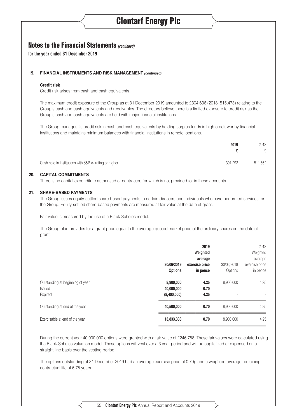### **Notes to the Financial Statements** *(continued)*

#### **for the year ended 31 December 2019**

#### **19. FINANCIAL INSTRUMENTS AND RISK MANAGEMENT (continued)**

#### **Credit risk**

Credit risk arises from cash and cash equivalents.

The maximum credit exposure of the Group as at 31 December 2019 amounted to £304,636 (2018: 515,473) relating to the Group's cash and cash equivalents and receivables. The directors believe there is a limited exposure to credit risk as the Group's cash and cash equivalents are held with major financial institutions.

The Group manages its credit risk in cash and cash equivalents by holding surplus funds in high credit worthy financial institutions and maintains minimum balances with financial institutions in remote locations.

| 2019                                                              | 2018    |
|-------------------------------------------------------------------|---------|
|                                                                   | £       |
| Cash held in institutions with S&P A- rating or higher<br>301.292 | 511,562 |

#### **20. CAPITAL COMMITMENTS**

There is no capital expenditure authorised or contracted for which is not provided for in these accounts.

#### **21. SHARE-BASED PAYMENTS**

The Group issues equity-settled share-based payments to certain directors and individuals who have performed services for the Group. Equity-settled share-based payments are measured at fair value at the date of grant.

Fair value is measured by the use of a Black-Scholes model.

The Group plan provides for a grant price equal to the average quoted market price of the ordinary shares on the date of grant.

|                                  |                | 2019           |                          | 2018                     |
|----------------------------------|----------------|----------------|--------------------------|--------------------------|
|                                  |                | Weighted       |                          | Weighted                 |
|                                  |                | average        |                          | average                  |
|                                  | 30/06/2019     | exercise price | 30/06/2018               | exercise price           |
|                                  | <b>Options</b> | in pence       | Options                  | in pence                 |
| Outstanding at beginning of year | 8,900,000      | 4.25           | 8,900,000                | 4.25                     |
| Issued                           | 40,000,000     | 0.70           | $\overline{\phantom{a}}$ | $\overline{\phantom{a}}$ |
| Expired                          | (8,400,000)    | 4.25           | ۰                        | $\overline{\phantom{a}}$ |
| Outstanding at end of the year   | 40,500,000     | 0.70           | 8,900,000                | 4.25                     |
| Exercisable at end of the year   | 13,833,333     | 0.70           | 8,900,000                | 4.25                     |
|                                  |                |                |                          |                          |

During the current year 40,000,000 options were granted with a fair value of £246,788. These fair values were calculated using the Black-Scholes valuation model. These options will vest over a 3 year period and will be capitalized or expensed on a straight line basis over the vesting period.

The options outstanding at 31 December 2019 had an average exercise price of 0.70p and a weighted average remaining contractual life of 6.75 years.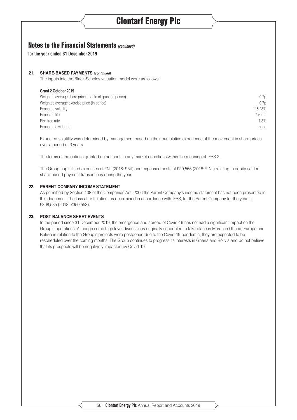### **Notes to the Financial Statements** *(continued)*

#### **for the year ended 31 December 2019**

#### **21. SHARE-BASED PAYMENTS (continued)**

The inputs into the Black-Scholes valuation model were as follows:

#### **Grant 2 October 2019**

| Weighted average share price at date of grant (in pence) | 0.7p             |
|----------------------------------------------------------|------------------|
| Weighted average exercise price (in pence)               | 0.7 <sub>p</sub> |
| Expected volatility                                      | 116.23%          |
| Expected life                                            | 7 vears          |
| Risk free rate                                           | 1.3%             |
| Expected dividends                                       | none             |

Expected volatility was determined by management based on their cumulative experience of the movement in share prices over a period of 3 years

The terms of the options granted do not contain any market conditions within the meaning of IFRS 2.

The Group capitalised expenses of £Nil (2018: £Nil) and expensed costs of £20,565 (2018: £ Nil) relating to equity-settled share-based payment transactions during the year.

#### **22. PARENT COMPANY INCOME STATEMENT**

As permitted by Section 408 of the Companies Act, 2006 the Parent Company's income statement has not been presented in this document. The loss after taxation, as determined in accordance with IFRS, for the Parent Company for the year is £308,535 (2018: £350,553).

#### **23. POST BALANCE SHEET EVENTS**

In the period since 31 December 2019, the emergence and spread of Covid-19 has not had a significant impact on the Group's operations. Although some high level discussions originally scheduled to take place in March in Ghana, Europe and Bolivia in relation to the Group's projects were postponed due to the Covid-19 pandemic, they are expected to be rescheduled over the coming months. The Group continues to progress its interests in Ghana and Bolivia and do not believe that its prospects will be negatively impacted by Covid-19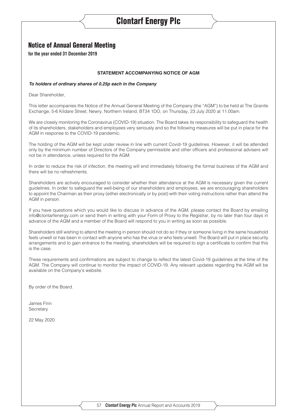### **Notice of Annual General Meeting**

**for the year ended 31 December 2019**

#### **STATEMENT ACCOMPANYING NOTICE OF AGM**

#### **To holders of ordinary shares of 0.25p each in the Company**

Dear Shareholder,

This letter accompanies the Notice of the Annual General Meeting of the Company (the "AGM") to be held at The Granite Exchange, 5-6 Kildare Street, Newry, Northern Ireland, BT34 1DO, on Thursday, 23 July 2020 at 11.00am.

We are closely monitoring the Coronavirus (COVID-19) situation. The Board takes its responsibility to safeguard the health of its shareholders, stakeholders and employees very seriously and so the following measures will be put in place for the AGM in response to the COVID-19 pandemic.

The holding of the AGM will be kept under review in line with current Covid-19 guidelines. However, it will be attended only by the minimum number of Directors of the Company permissible and other officers and professional advisers will not be in attendance, unless required for the AGM.

In order to reduce the risk of infection, the meeting will end immediately following the formal business of the AGM and there will be no refreshments.

Shareholders are actively encouraged to consider whether their attendance at the AGM is necessary given the current guidelines. In order to safeguard the well-being of our shareholders and employees, we are encouraging shareholders to appoint the Chairman as their proxy (either electronically or by post) with their voting instructions rather than attend the AGM in person.

If you have questions which you would like to discuss in advance of the AGM, please contact the Board by emailing info@clontarfenergy.com or send them in writing with your Form of Proxy to the Registrar, by no later than four days in advance of the AGM and a member of the Board will respond to you in writing as soon as possible.

Shareholders still wishing to attend the meeting in person should not do so if they or someone living in the same household feels unwell or has been in contact with anyone who has the virus or who feels unwell. The Board will put in place security arrangements and to gain entrance to the meeting, shareholders will be required to sign a certificate to confirm that this is the case.

These requirements and confirmations are subject to change to reflect the latest Covid-19 guidelines at the time of the AGM. The Company will continue to monitor the impact of COVID-19. Any relevant updates regarding the AGM will be available on the Company's website.

By order of the Board.

James Finn **Secretary** 

22 May 2020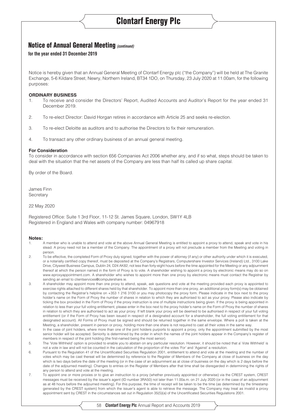### **Notice of Annual General Meeting** *(continued)*

#### **for the year ended 31 December 2019**

Notice is hereby given that an Annual General Meeting of Clontarf Energy plc ("the Company") will be held at The Granite Exchange, 5-6 Kildare Street, Newry, Northern Ireland, BT34 1DO, on Thursday, 23 July 2020 at 11.00am, for the following purposes:

#### **ORDINARY BUSINESS**

- 1. To receive and consider the Directors' Report, Audited Accounts and Auditor's Report for the year ended 31 December 2019.
- 2. To re-elect Director: David Horgan retires in accordance with Article 25 and seeks re-election.
- 3. To re-elect Deloitte as auditors and to authorise the Directors to fix their remuneration.
- 4. To transact any other ordinary business of an annual general meeting.

#### **For Consideration**

To consider in accordance with section 656 Companies Act 2006 whether any, and if so what, steps should be taken to deal with the situation that the net assets of the Company are less than half its called up share capital.

By order of the Board.

James Finn **Secretary** 

22 May 2020

Registered Office: Suite 1 3rd Floor, 11-12 St. James Square, London, SW1Y 4LB Registered in England and Wales with company number: 04967918

#### **Notes:**

- 1. A member who is unable to attend and vote at the above Annual General Meeting is entitled to appoint a proxy to attend, speak and vote in his stead. A proxy need not be a member of the Company. The appointment of a proxy will not preclude a member from the Meeting and voting in person.
- 2. To be effective, the completed Form of Proxy duly signed, together with the power of attorney (if any) or other authority under which it is executed, or a notarially certified copy thereof, must be deposited at the Company's Registrars, Computershare Investor Services (Ireland) Ltd., 3100 Lake Drive, Citywest Business Campus, Dublin 24, D24 AK82, not less than forty-eight hours before the time appointed for the Meeting or any adjournment thereof at which the person named in the form of Proxy is to vote. A shareholder wishing to appoint a proxy by electronic means may do so on www.eproxyappointment.com. A shareholder who wishes to appoint more than one proxy by electronic means must contact the Registrar by sending an email to clientservices@computershare.ie.
- 3. A shareholder may appoint more than one proxy to attend, speak, ask questions and vote at the meeting provided each proxy is appointed to exercise rights attached to different shares held by that shareholder. To appoint more than one proxy, an additional proxy form(s) may be obtained by contacting the Registrar's helpline on +353 1 216 3100 or you may photocopy the proxy form. Please indicate in the box next to the proxy holder's name on the Form of Proxy the number of shares in relation to which they are authorised to act as your proxy. Please also indicate by ticking the box provided in the Form of Proxy if the proxy instruction is one of multiple instructions being given. If the proxy is being appointed in relation to less than your full voting entitlement, please enter in the box next to the proxy holder's name on the Form of Proxy the number of shares in relation to which they are authorised to act as your proxy. If left blank your proxy will be deemed to be authorised in respect of your full voting entitlement (or if the Form of Proxy has been issued in respect of a designated account for a shareholder, the full voting entitlement for that designated account). All Forms of Proxy must be signed and should be returned together in the same envelope. Where a poll is taken at the Meeting, a shareholder, present in person or proxy, holding more than one share is not required to cast all their votes in the same way.
- 4. In the case of joint holders, where more than one of the joint holders purports to appoint a proxy, only the appointment submitted by the most senior holder will be accepted. Seniority is determined by the order in which the names of the joint holders appear in the Company's register of members in respect of the joint holding (the first-named being the most senior).
- 5. The 'Vote Withheld' option is provided to enable you to abstain on any particular resolution. However, it should be noted that a' Vote Withheld' is not a vote in law and will not be counted in the calculation of the proportion of the votes 'For' and 'Against' a resolution.
- 6. Pursuant to the Regulation 41 of the Uncertificated Securities Regulation 2001, entitlement to attend and vote at the meeting and the number of votes which may be cast thereat will be determined by reference to the Register of Members of the Company at close of business on the day which is two days before the date of the meeting (or in the case of an adjournment as at close of business on the day which is 2 days before the date of the adjourned meeting). Changes to entries on the Register of Members after that time shall be disregarded in determining the rights of any person to attend and vote at the meeting.
- 7. To appoint one or more proxies or to give an instruction to a proxy (whether previously appointed or otherwise) via the CREST system, CREST messages must be received by the issuer's agent (ID number 3RA50) not later than 11.00a.m. on 21 July 2020 (or in the case of an adjournment as at 48 hours before the adjourned meeting). For this purpose, the time of receipt will be taken to be the time (as determined by the timestamp generated by the CREST system) from which the issuer's agent is able to retrieve the message. The Company may treat as invalid a proxy appointment sent by CREST in the circumstances set out in Regulation 35(5)(a) of the Uncertificated Securities Regulations 2001.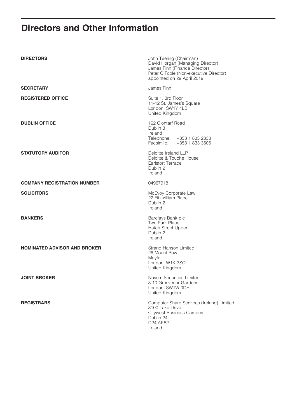## **Directors and Other Information**

| <b>DIRECTORS</b>                    | John Teeling (Chairman)<br>David Horgan (Managing Director)<br>James Finn (Finance Director)<br>Peter O'Toole (Non-executive Director)<br>appointed on 29 April 2019 |
|-------------------------------------|----------------------------------------------------------------------------------------------------------------------------------------------------------------------|
| <b>SECRETARY</b>                    | James Finn                                                                                                                                                           |
| <b>REGISTERED OFFICE</b>            | Suite 1, 3rd Floor<br>11-12 St. James's Square<br>London, SW1Y 4LB<br>United Kingdom                                                                                 |
| <b>DUBLIN OFFICE</b>                | 162 Clontarf Road<br>Dublin 3<br>Ireland<br>Telephone: +353 1 833 2833<br>Facsimile: +353 1 833 3505                                                                 |
| <b>STATUTORY AUDITOR</b>            | Deloitte Ireland LLP<br>Deloitte & Touche House<br><b>Earlsfort Terrace</b><br>Dublin 2<br>Ireland                                                                   |
| <b>COMPANY REGISTRATION NUMBER</b>  | 04967918                                                                                                                                                             |
| <b>SOLICITORS</b>                   | McEvoy Corporate Law<br>22 Fitzwilliam Place<br>Dublin 2<br>Ireland                                                                                                  |
| <b>BANKERS</b>                      | Barclays Bank plc<br>Two Park Place<br>Hatch Street Upper<br>Dublin 2<br>Ireland                                                                                     |
| <b>NOMINATED ADVISOR AND BROKER</b> | Strand Hanson Limited<br>26 Mount Row<br>Mayfair<br>London, W1K 3SQ<br>United Kingdom                                                                                |
| <b>JOINT BROKER</b>                 | Novum Securities Limited<br>8-10 Grosvenor Gardens<br>London, SW1W 0DH<br>United Kingdom                                                                             |
| <b>REGISTRARS</b>                   | Computer Share Services (Ireland) Limited<br>3100 Lake Drive<br><b>Citywest Business Campus</b><br>Dublin 24<br>D24 AK82<br>Ireland                                  |